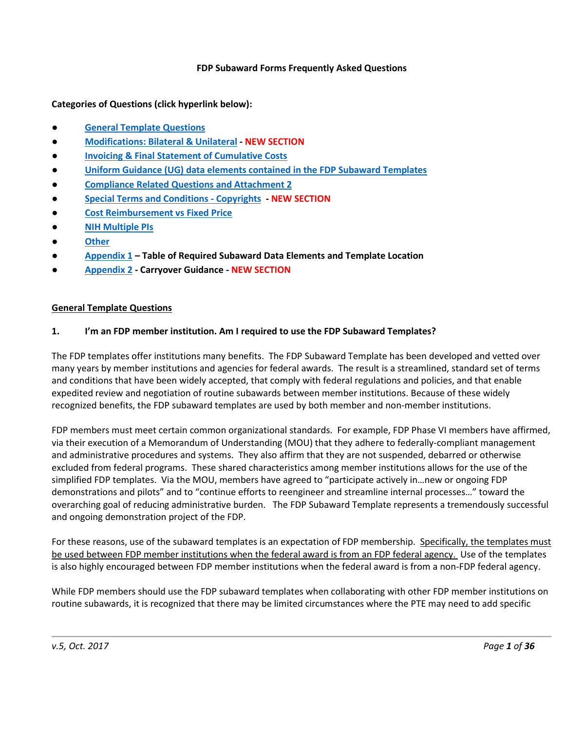#### **FDP Subaward Forms Frequently Asked Questions**

**Categories of Questions (click hyperlink below):**

- **[General Template Questions](#page-0-0)**
- **[Modifications: Bilateral & Unilateral](#page-3-0) - NEW SECTION**
- **[Invoicing & Final Statement of Cumulative Costs](#page-4-0)**
- **[Uniform Guidance \(UG\) data elements contained in the FDP Subaward Templates](#page-7-0)**
- **[Compliance Related Questions and Attachment 2](#page-11-0)**
- **[Special Terms and Conditions -](#page-18-0) Copyrights - NEW SECTION**
- **[Cost Reimbursement vs Fixed Price](#page-19-0)**
- **[NIH Multiple PIs](#page-20-0)**
- **[Other](#page-21-0)**
- **[Appendix 1](#page-23-0) – Table of Required Subaward Data Elements and Template Location**
- **[Appendix 2](#page-26-0) - Carryover Guidance - NEW SECTION**

#### <span id="page-0-0"></span>**General Template Questions**

#### **1. I'm an FDP member institution. Am I required to use the FDP Subaward Templates?**

The FDP templates offer institutions many benefits. The FDP Subaward Template has been developed and vetted over many years by member institutions and agencies for federal awards. The result is a streamlined, standard set of terms and conditions that have been widely accepted, that comply with federal regulations and policies, and that enable expedited review and negotiation of routine subawards between member institutions. Because of these widely recognized benefits, the FDP subaward templates are used by both member and non-member institutions.

FDP members must meet certain common organizational standards. For example, FDP Phase VI members have affirmed, via their execution of a Memorandum of Understanding (MOU) that they adhere to federally-compliant management and administrative procedures and systems. They also affirm that they are not suspended, debarred or otherwise excluded from federal programs. These shared characteristics among member institutions allows for the use of the simplified FDP templates. Via the MOU, members have agreed to "participate actively in…new or ongoing FDP demonstrations and pilots" and to "continue efforts to reengineer and streamline internal processes…" toward the overarching goal of reducing administrative burden. The FDP Subaward Template represents a tremendously successful and ongoing demonstration project of the FDP.

For these reasons, use of the subaward templates is an expectation of FDP membership. Specifically, the templates must be used between FDP member institutions when the federal award is from an FDP federal agency. Use of the templates is also highly encouraged between FDP member institutions when the federal award is from a non-FDP federal agency.

While FDP members should use the FDP subaward templates when collaborating with other FDP member institutions on routine subawards, it is recognized that there may be limited circumstances where the PTE may need to add specific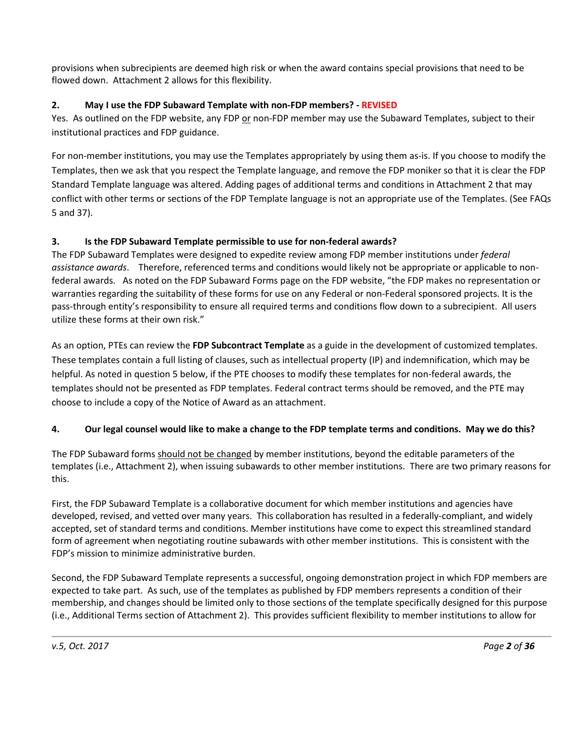provisions when subrecipients are deemed high risk or when the award contains special provisions that need to be flowed down. Attachment 2 allows for this flexibility.

# **2. May I use the FDP Subaward Template with non-FDP members? - REVISED**

Yes. As outlined on the FDP website, any FDP or non-FDP member may use the Subaward Templates, subject to their institutional practices and FDP guidance.

For non-member institutions, you may use the Templates appropriately by using them as-is. If you choose to modify the Templates, then we ask that you respect the Template language, and remove the FDP moniker so that it is clear the FDP Standard Template language was altered. Adding pages of additional terms and conditions in Attachment 2 that may conflict with other terms or sections of the FDP Template language is not an appropriate use of the Templates. (See FAQs 5 and 37).

# **3. Is the FDP Subaward Template permissible to use for non-federal awards?**

The FDP Subaward Templates were designed to expedite review among FDP member institutions under *federal assistance awards*. Therefore, referenced terms and conditions would likely not be appropriate or applicable to nonfederal awards. As noted on the FDP Subaward Forms page on the FDP website, "the FDP makes no representation or warranties regarding the suitability of these forms for use on any Federal or non-Federal sponsored projects. It is the pass-through entity's responsibility to ensure all required terms and conditions flow down to a subrecipient. All users utilize these forms at their own risk."

As an option, PTEs can review the **FDP Subcontract Template** as a guide in the development of customized templates. These templates contain a full listing of clauses, such as intellectual property (IP) and indemnification, which may be helpful. As noted in question 5 below, if the PTE chooses to modify these templates for non-federal awards, the templates should not be presented as FDP templates. Federal contract terms should be removed, and the PTE may choose to include a copy of the Notice of Award as an attachment.

### **4. Our legal counsel would like to make a change to the FDP template terms and conditions. May we do this?**

The FDP Subaward forms should not be changed by member institutions, beyond the editable parameters of the templates (i.e., Attachment 2), when issuing subawards to other member institutions. There are two primary reasons for this.

First, the FDP Subaward Template is a collaborative document for which member institutions and agencies have developed, revised, and vetted over many years. This collaboration has resulted in a federally-compliant, and widely accepted, set of standard terms and conditions. Member institutions have come to expect this streamlined standard form of agreement when negotiating routine subawards with other member institutions. This is consistent with the FDP's mission to minimize administrative burden.

Second, the FDP Subaward Template represents a successful, ongoing demonstration project in which FDP members are expected to take part. As such, use of the templates as published by FDP members represents a condition of their membership, and changes should be limited only to those sections of the template specifically designed for this purpose (i.e., Additional Terms section of Attachment 2). This provides sufficient flexibility to member institutions to allow for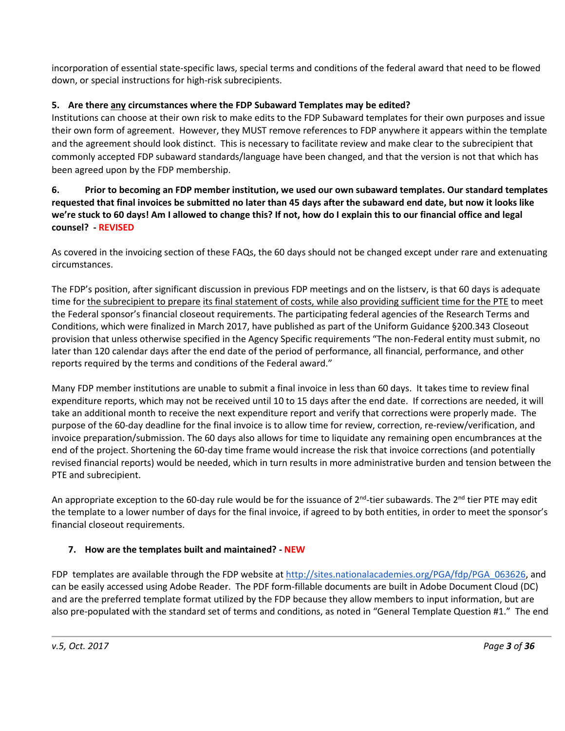incorporation of essential state-specific laws, special terms and conditions of the federal award that need to be flowed down, or special instructions for high-risk subrecipients.

## **5. Are there any circumstances where the FDP Subaward Templates may be edited?**

Institutions can choose at their own risk to make edits to the FDP Subaward templates for their own purposes and issue their own form of agreement. However, they MUST remove references to FDP anywhere it appears within the template and the agreement should look distinct. This is necessary to facilitate review and make clear to the subrecipient that commonly accepted FDP subaward standards/language have been changed, and that the version is not that which has been agreed upon by the FDP membership.

### **6. Prior to becoming an FDP member institution, we used our own subaward templates. Our standard templates requested that final invoices be submitted no later than 45 days after the subaward end date, but now it looks like we're stuck to 60 days! Am I allowed to change this? If not, how do I explain this to our financial office and legal counsel? - REVISED**

As covered in the invoicing section of these FAQs, the 60 days should not be changed except under rare and extenuating circumstances.

The FDP's position, after significant discussion in previous FDP meetings and on the listserv, is that 60 days is adequate time for the subrecipient to prepare its final statement of costs, while also providing sufficient time for the PTE to meet the Federal sponsor's financial closeout requirements. The participating federal agencies of the Research Terms and Conditions, which were finalized in March 2017, have published as part of the Uniform Guidance §200.343 Closeout provision that unless otherwise specified in the Agency Specific requirements "The non-Federal entity must submit, no later than 120 calendar days after the end date of the period of performance, all financial, performance, and other reports required by the terms and conditions of the Federal award."

Many FDP member institutions are unable to submit a final invoice in less than 60 days. It takes time to review final expenditure reports, which may not be received until 10 to 15 days after the end date. If corrections are needed, it will take an additional month to receive the next expenditure report and verify that corrections were properly made. The purpose of the 60-day deadline for the final invoice is to allow time for review, correction, re-review/verification, and invoice preparation/submission. The 60 days also allows for time to liquidate any remaining open encumbrances at the end of the project. Shortening the 60-day time frame would increase the risk that invoice corrections (and potentially revised financial reports) would be needed, which in turn results in more administrative burden and tension between the PTE and subrecipient.

An appropriate exception to the 60-day rule would be for the issuance of  $2^{nd}$ -tier subawards. The  $2^{nd}$  tier PTE may edit the template to a lower number of days for the final invoice, if agreed to by both entities, in order to meet the sponsor's financial closeout requirements.

### **7. How are the templates built and maintained? - NEW**

FDP templates are available through the FDP website at [http://sites.nationalacademies.org/PGA/fdp/PGA\\_063626,](http://sites.nationalacademies.org/PGA/fdp/PGA_063626) and can be easily accessed using Adobe Reader. The PDF form-fillable documents are built in Adobe Document Cloud (DC) and are the preferred template format utilized by the FDP because they allow members to input information, but are also pre-populated with the standard set of terms and conditions, as noted in "General Template Question #1." The end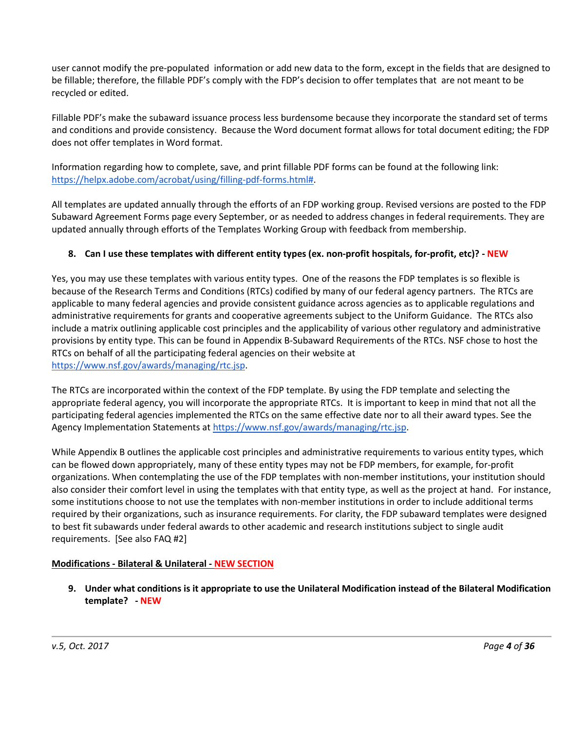user cannot modify the pre-populated information or add new data to the form, except in the fields that are designed to be fillable; therefore, the fillable PDF's comply with the FDP's decision to offer templates that are not meant to be recycled or edited.

Fillable PDF's make the subaward issuance process less burdensome because they incorporate the standard set of terms and conditions and provide consistency. Because the Word document format allows for total document editing; the FDP does not offer templates in Word format.

Information regarding how to complete, save, and print fillable PDF forms can be found at the following link: [https://helpx.adobe.com/acrobat/using/filling-pdf-forms.html#.](https://helpx.adobe.com/acrobat/using/filling-pdf-forms.html)

All templates are updated annually through the efforts of an FDP working group. Revised versions are posted to the FDP Subaward Agreement Forms page every September, or as needed to address changes in federal requirements. They are updated annually through efforts of the Templates Working Group with feedback from membership.

### **8. Can I use these templates with different entity types (ex. non-profit hospitals, for-profit, etc)? - NEW**

Yes, you may use these templates with various entity types. One of the reasons the FDP templates is so flexible is because of the Research Terms and Conditions (RTCs) codified by many of our federal agency partners. The RTCs are applicable to many federal agencies and provide consistent guidance across agencies as to applicable regulations and administrative requirements for grants and cooperative agreements subject to the Uniform Guidance. The RTCs also include a matrix outlining applicable cost principles and the applicability of various other regulatory and administrative provisions by entity type. This can be found in Appendix B-Subaward Requirements of the RTCs. NSF chose to host the RTCs on behalf of all the participating federal agencies on their website at [https://www.nsf.gov/awards/managing/rtc.jsp.](https://www.nsf.gov/awards/managing/rtc.jsp)

The RTCs are incorporated within the context of the FDP template. By using the FDP template and selecting the appropriate federal agency, you will incorporate the appropriate RTCs. It is important to keep in mind that not all the participating federal agencies implemented the RTCs on the same effective date nor to all their award types. See the Agency Implementation Statements a[t https://www.nsf.gov/awards/managing/rtc.jsp.](https://www.nsf.gov/awards/managing/rtc.jsp)

While Appendix B outlines the applicable cost principles and administrative requirements to various entity types, which can be flowed down appropriately, many of these entity types may not be FDP members, for example, for-profit organizations. When contemplating the use of the FDP templates with non-member institutions, your institution should also consider their comfort level in using the templates with that entity type, as well as the project at hand. For instance, some institutions choose to not use the templates with non-member institutions in order to include additional terms required by their organizations, such as insurance requirements. For clarity, the FDP subaward templates were designed to best fit subawards under federal awards to other academic and research institutions subject to single audit requirements. [See also FAQ #2]

#### <span id="page-3-0"></span>**Modifications - Bilateral & Unilateral - NEW SECTION**

**9. Under what conditions is it appropriate to use the Unilateral Modification instead of the Bilateral Modification template? - NEW**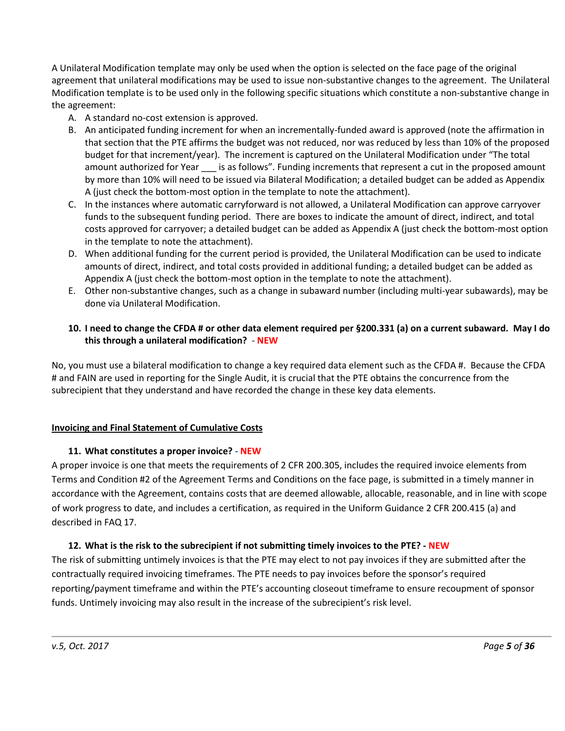A Unilateral Modification template may only be used when the option is selected on the face page of the original agreement that unilateral modifications may be used to issue non-substantive changes to the agreement. The Unilateral Modification template is to be used only in the following specific situations which constitute a non-substantive change in the agreement:

- A. A standard no-cost extension is approved.
- B. An anticipated funding increment for when an incrementally-funded award is approved (note the affirmation in that section that the PTE affirms the budget was not reduced, nor was reduced by less than 10% of the proposed budget for that increment/year). The increment is captured on the Unilateral Modification under "The total amount authorized for Year is as follows". Funding increments that represent a cut in the proposed amount by more than 10% will need to be issued via Bilateral Modification; a detailed budget can be added as Appendix A (just check the bottom-most option in the template to note the attachment).
- C. In the instances where automatic carryforward is not allowed, a Unilateral Modification can approve carryover funds to the subsequent funding period. There are boxes to indicate the amount of direct, indirect, and total costs approved for carryover; a detailed budget can be added as Appendix A (just check the bottom-most option in the template to note the attachment).
- D. When additional funding for the current period is provided, the Unilateral Modification can be used to indicate amounts of direct, indirect, and total costs provided in additional funding; a detailed budget can be added as Appendix A (just check the bottom-most option in the template to note the attachment).
- E. Other non-substantive changes, such as a change in subaward number (including multi-year subawards), may be done via Unilateral Modification.

### **10. I need to change the CFDA # or other data element required per §200.331 (a) on a current subaward. May I do this through a unilateral modification?** - **NEW**

No, you must use a bilateral modification to change a key required data element such as the CFDA #. Because the CFDA # and FAIN are used in reporting for the Single Audit, it is crucial that the PTE obtains the concurrence from the subrecipient that they understand and have recorded the change in these key data elements.

#### <span id="page-4-0"></span>**Invoicing and Final Statement of Cumulative Costs**

#### **11. What constitutes a proper invoice? - NEW**

A proper invoice is one that meets the requirements of 2 CFR 200.305, includes the required invoice elements from Terms and Condition #2 of the Agreement Terms and Conditions on the face page, is submitted in a timely manner in accordance with the Agreement, contains costs that are deemed allowable, allocable, reasonable, and in line with scope of work progress to date, and includes a certification, as required in the Uniform Guidance 2 CFR 200.415 (a) and described in FAQ 17.

#### **12. What is the risk to the subrecipient if not submitting timely invoices to the PTE? - NEW**

The risk of submitting untimely invoices is that the PTE may elect to not pay invoices if they are submitted after the contractually required invoicing timeframes. The PTE needs to pay invoices before the sponsor's required reporting/payment timeframe and within the PTE's accounting closeout timeframe to ensure recoupment of sponsor funds. Untimely invoicing may also result in the increase of the subrecipient's risk level.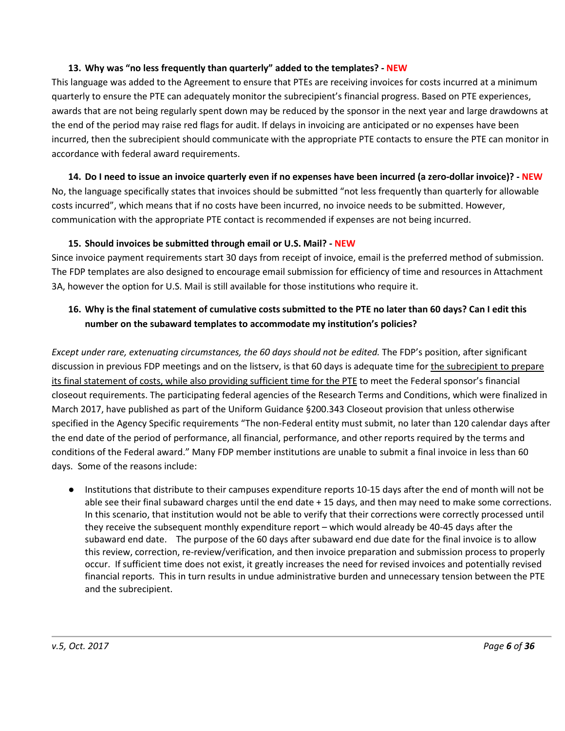#### **13. Why was "no less frequently than quarterly" added to the templates? - NEW**

This language was added to the Agreement to ensure that PTEs are receiving invoices for costs incurred at a minimum quarterly to ensure the PTE can adequately monitor the subrecipient's financial progress. Based on PTE experiences, awards that are not being regularly spent down may be reduced by the sponsor in the next year and large drawdowns at the end of the period may raise red flags for audit. If delays in invoicing are anticipated or no expenses have been incurred, then the subrecipient should communicate with the appropriate PTE contacts to ensure the PTE can monitor in accordance with federal award requirements.

#### **14. Do I need to issue an invoice quarterly even if no expenses have been incurred (a zero-dollar invoice)? - NEW**

No, the language specifically states that invoices should be submitted "not less frequently than quarterly for allowable costs incurred", which means that if no costs have been incurred, no invoice needs to be submitted. However, communication with the appropriate PTE contact is recommended if expenses are not being incurred.

#### **15. Should invoices be submitted through email or U.S. Mail? - NEW**

Since invoice payment requirements start 30 days from receipt of invoice, email is the preferred method of submission. The FDP templates are also designed to encourage email submission for efficiency of time and resources in Attachment 3A, however the option for U.S. Mail is still available for those institutions who require it.

### **16. Why is the final statement of cumulative costs submitted to the PTE no later than 60 days? Can I edit this number on the subaward templates to accommodate my institution's policies?**

*Except under rare, extenuating circumstances, the 60 days should not be edited.* The FDP's position, after significant discussion in previous FDP meetings and on the listserv, is that 60 days is adequate time for the subrecipient to prepare its final statement of costs, while also providing sufficient time for the PTE to meet the Federal sponsor's financial closeout requirements. The participating federal agencies of the Research Terms and Conditions, which were finalized in March 2017, have published as part of the Uniform Guidance §200.343 Closeout provision that unless otherwise specified in the Agency Specific requirements "The non-Federal entity must submit, no later than 120 calendar days after the end date of the period of performance, all financial, performance, and other reports required by the terms and conditions of the Federal award." Many FDP member institutions are unable to submit a final invoice in less than 60 days. Some of the reasons include:

● Institutions that distribute to their campuses expenditure reports 10-15 days after the end of month will not be able see their final subaward charges until the end date + 15 days, and then may need to make some corrections. In this scenario, that institution would not be able to verify that their corrections were correctly processed until they receive the subsequent monthly expenditure report – which would already be 40-45 days after the subaward end date. The purpose of the 60 days after subaward end due date for the final invoice is to allow this review, correction, re-review/verification, and then invoice preparation and submission process to properly occur. If sufficient time does not exist, it greatly increases the need for revised invoices and potentially revised financial reports. This in turn results in undue administrative burden and unnecessary tension between the PTE and the subrecipient.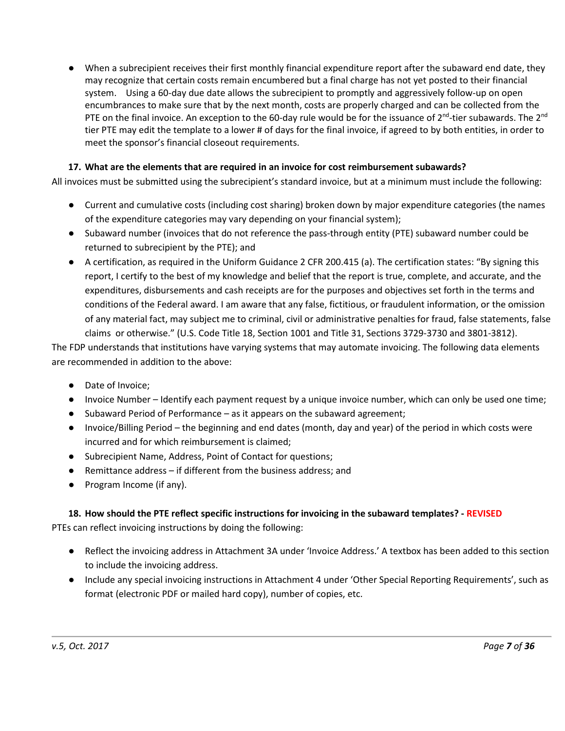● When a subrecipient receives their first monthly financial expenditure report after the subaward end date, they may recognize that certain costs remain encumbered but a final charge has not yet posted to their financial system. Using a 60-day due date allows the subrecipient to promptly and aggressively follow-up on open encumbrances to make sure that by the next month, costs are properly charged and can be collected from the PTE on the final invoice. An exception to the 60-day rule would be for the issuance of  $2^{nd}$ -tier subawards. The  $2^{nd}$ tier PTE may edit the template to a lower # of days for the final invoice, if agreed to by both entities, in order to meet the sponsor's financial closeout requirements.

### **17. What are the elements that are required in an invoice for cost reimbursement subawards?**

All invoices must be submitted using the subrecipient's standard invoice, but at a minimum must include the following:

- Current and cumulative costs (including cost sharing) broken down by major expenditure categories (the names of the expenditure categories may vary depending on your financial system);
- Subaward number (invoices that do not reference the pass-through entity (PTE) subaward number could be returned to subrecipient by the PTE); and
- A certification, as required in the Uniform Guidance 2 CFR 200.415 (a). The certification states: "By signing this report, I certify to the best of my knowledge and belief that the report is true, complete, and accurate, and the expenditures, disbursements and cash receipts are for the purposes and objectives set forth in the terms and conditions of the Federal award. I am aware that any false, fictitious, or fraudulent information, or the omission of any material fact, may subject me to criminal, civil or administrative penalties for fraud, false statements, false claims or otherwise." (U.S. Code Title 18, Section 1001 and Title 31, Sections 3729-3730 and 3801-3812).

The FDP understands that institutions have varying systems that may automate invoicing. The following data elements are recommended in addition to the above:

- Date of Invoice;
- Invoice Number Identify each payment request by a unique invoice number, which can only be used one time;
- Subaward Period of Performance as it appears on the subaward agreement;
- Invoice/Billing Period the beginning and end dates (month, day and year) of the period in which costs were incurred and for which reimbursement is claimed;
- Subrecipient Name, Address, Point of Contact for questions;
- Remittance address if different from the business address; and
- Program Income (if any).

### **18. How should the PTE reflect specific instructions for invoicing in the subaward templates? - REVISED**

PTEs can reflect invoicing instructions by doing the following:

- Reflect the invoicing address in Attachment 3A under 'Invoice Address.' A textbox has been added to this section to include the invoicing address.
- Include any special invoicing instructions in Attachment 4 under 'Other Special Reporting Requirements', such as format (electronic PDF or mailed hard copy), number of copies, etc.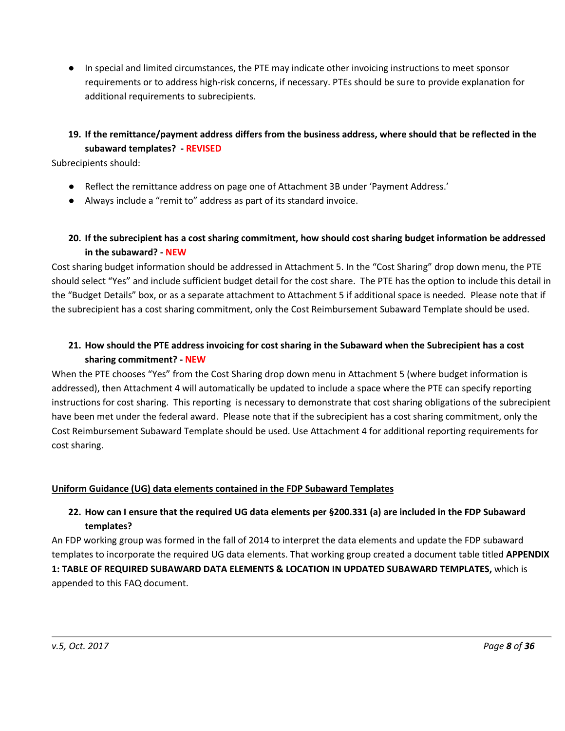● In special and limited circumstances, the PTE may indicate other invoicing instructions to meet sponsor requirements or to address high-risk concerns, if necessary. PTEs should be sure to provide explanation for additional requirements to subrecipients.

# **19. If the remittance/payment address differs from the business address, where should that be reflected in the subaward templates? - REVISED**

Subrecipients should:

- Reflect the remittance address on page one of Attachment 3B under 'Payment Address.'
- Always include a "remit to" address as part of its standard invoice.

### **20. If the subrecipient has a cost sharing commitment, how should cost sharing budget information be addressed in the subaward? - NEW**

Cost sharing budget information should be addressed in Attachment 5. In the "Cost Sharing" drop down menu, the PTE should select "Yes" and include sufficient budget detail for the cost share. The PTE has the option to include this detail in the "Budget Details" box, or as a separate attachment to Attachment 5 if additional space is needed. Please note that if the subrecipient has a cost sharing commitment, only the Cost Reimbursement Subaward Template should be used.

### **21. How should the PTE address invoicing for cost sharing in the Subaward when the Subrecipient has a cost sharing commitment? - NEW**

When the PTE chooses "Yes" from the Cost Sharing drop down menu in Attachment 5 (where budget information is addressed), then Attachment 4 will automatically be updated to include a space where the PTE can specify reporting instructions for cost sharing. This reporting is necessary to demonstrate that cost sharing obligations of the subrecipient have been met under the federal award. Please note that if the subrecipient has a cost sharing commitment, only the Cost Reimbursement Subaward Template should be used. Use Attachment 4 for additional reporting requirements for cost sharing.

#### <span id="page-7-0"></span>**Uniform Guidance (UG) data elements contained in the FDP Subaward Templates**

### **22. How can I ensure that the required UG data elements per §200.331 (a) are included in the FDP Subaward templates?**

An FDP working group was formed in the fall of 2014 to interpret the data elements and update the FDP subaward templates to incorporate the required UG data elements. That working group created a document table titled **APPENDIX 1: TABLE OF REQUIRED SUBAWARD DATA ELEMENTS & LOCATION IN UPDATED SUBAWARD TEMPLATES,** which is appended to this FAQ document.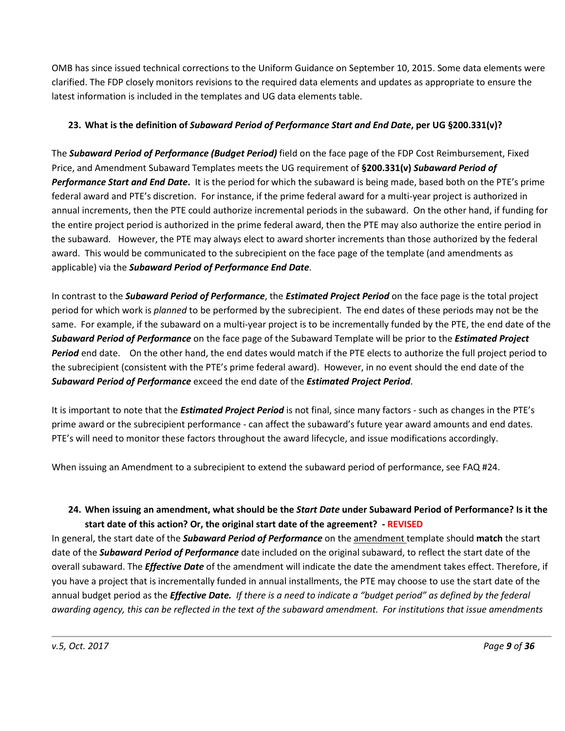OMB has since issued technical corrections to the Uniform Guidance on September 10, 2015. Some data elements were clarified. The FDP closely monitors revisions to the required data elements and updates as appropriate to ensure the latest information is included in the templates and UG data elements table.

## **23. What is the definition of** *Subaward Period of Performance Start and End Date***, per UG §200.331(v)?**

The *Subaward Period of Performance (Budget Period)* field on the face page of the FDP Cost Reimbursement, Fixed Price, and Amendment Subaward Templates meets the UG requirement of **§200.331(v)** *Subaward Period of Performance Start and End Date***.** It is the period for which the subaward is being made, based both on the PTE's prime federal award and PTE's discretion. For instance, if the prime federal award for a multi-year project is authorized in annual increments, then the PTE could authorize incremental periods in the subaward. On the other hand, if funding for the entire project period is authorized in the prime federal award, then the PTE may also authorize the entire period in the subaward. However, the PTE may always elect to award shorter increments than those authorized by the federal award. This would be communicated to the subrecipient on the face page of the template (and amendments as applicable) via the *Subaward Period of Performance End Date*.

In contrast to the *Subaward Period of Performance*, the *Estimated Project Period* on the face page is the total project period for which work is *planned* to be performed by the subrecipient. The end dates of these periods may not be the same. For example, if the subaward on a multi-year project is to be incrementally funded by the PTE, the end date of the *Subaward Period of Performance* on the face page of the Subaward Template will be prior to the *Estimated Project Period* end date. On the other hand, the end dates would match if the PTE elects to authorize the full project period to the subrecipient (consistent with the PTE's prime federal award). However, in no event should the end date of the *Subaward Period of Performance* exceed the end date of the *Estimated Project Period*.

It is important to note that the *Estimated Project Period* is not final, since many factors - such as changes in the PTE's prime award or the subrecipient performance - can affect the subaward's future year award amounts and end dates. PTE's will need to monitor these factors throughout the award lifecycle, and issue modifications accordingly.

When issuing an Amendment to a subrecipient to extend the subaward period of performance, see FAQ #24.

# **24. When issuing an amendment, what should be the** *Start Date* **under Subaward Period of Performance? Is it the start date of this action? Or, the original start date of the agreement? - REVISED**

In general, the start date of the *Subaward Period of Performance* on the amendment template should **match** the start date of the *Subaward Period of Performance* date included on the original subaward, to reflect the start date of the overall subaward. The *Effective Date* of the amendment will indicate the date the amendment takes effect. Therefore, if you have a project that is incrementally funded in annual installments, the PTE may choose to use the start date of the annual budget period as the *Effective Date. If there is a need to indicate a "budget period" as defined by the federal awarding agency, this can be reflected in the text of the subaward amendment. For institutions that issue amendments*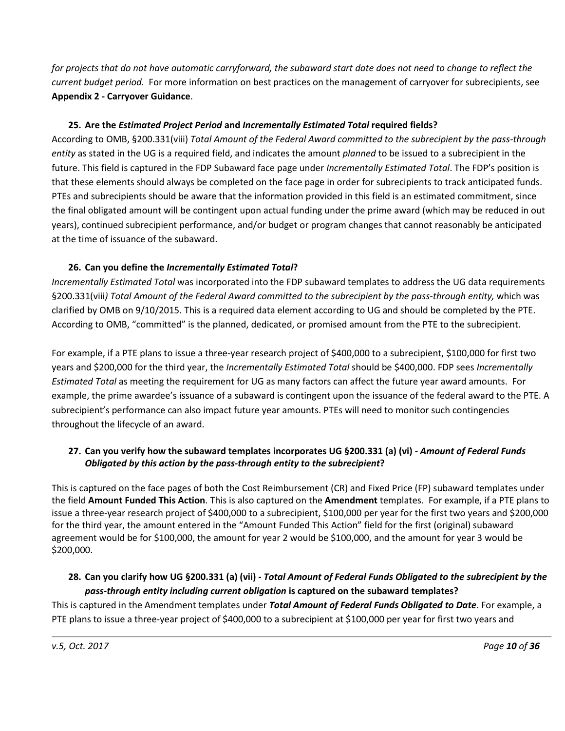*for projects that do not have automatic carryforward, the subaward start date does not need to change to reflect the current budget period.* For more information on best practices on the management of carryover for subrecipients, see **Appendix 2 - Carryover Guidance**.

## **25. Are the** *Estimated Project Period* **and** *Incrementally Estimated Total* **required fields?**

According to OMB, §200.331(viii) *Total Amount of the Federal Award committed to the subrecipient by the pass-through entity* as stated in the UG is a required field, and indicates the amount *planned* to be issued to a subrecipient in the future. This field is captured in the FDP Subaward face page under *Incrementally Estimated Total*. The FDP's position is that these elements should always be completed on the face page in order for subrecipients to track anticipated funds. PTEs and subrecipients should be aware that the information provided in this field is an estimated commitment, since the final obligated amount will be contingent upon actual funding under the prime award (which may be reduced in out years), continued subrecipient performance, and/or budget or program changes that cannot reasonably be anticipated at the time of issuance of the subaward.

# **26. Can you define the** *Incrementally Estimated Total***?**

*Incrementally Estimated Total* was incorporated into the FDP subaward templates to address the UG data requirements §200.331(viii*) Total Amount of the Federal Award committed to the subrecipient by the pass-through entity,* which was clarified by OMB on 9/10/2015. This is a required data element according to UG and should be completed by the PTE. According to OMB, "committed" is the planned, dedicated, or promised amount from the PTE to the subrecipient.

For example, if a PTE plans to issue a three-year research project of \$400,000 to a subrecipient, \$100,000 for first two years and \$200,000 for the third year, the *Incrementally Estimated Total* should be \$400,000. FDP sees *Incrementally Estimated Total* as meeting the requirement for UG as many factors can affect the future year award amounts. For example, the prime awardee's issuance of a subaward is contingent upon the issuance of the federal award to the PTE. A subrecipient's performance can also impact future year amounts. PTEs will need to monitor such contingencies throughout the lifecycle of an award.

### **27. Can you verify how the subaward templates incorporates UG §200.331 (a) (vi) -** *Amount of Federal Funds Obligated by this action by the pass-through entity to the subrecipient***?**

This is captured on the face pages of both the Cost Reimbursement (CR) and Fixed Price (FP) subaward templates under the field **Amount Funded This Action**. This is also captured on the **Amendment** templates. For example, if a PTE plans to issue a three-year research project of \$400,000 to a subrecipient, \$100,000 per year for the first two years and \$200,000 for the third year, the amount entered in the "Amount Funded This Action" field for the first (original) subaward agreement would be for \$100,000, the amount for year 2 would be \$100,000, and the amount for year 3 would be \$200,000.

### **28. Can you clarify how UG §200.331 (a) (vii) -** *Total Amount of Federal Funds Obligated to the subrecipient by the pass-through entity including current obligation* **is captured on the subaward templates?**

This is captured in the Amendment templates under *Total Amount of Federal Funds Obligated to Date*. For example, a PTE plans to issue a three-year project of \$400,000 to a subrecipient at \$100,000 per year for first two years and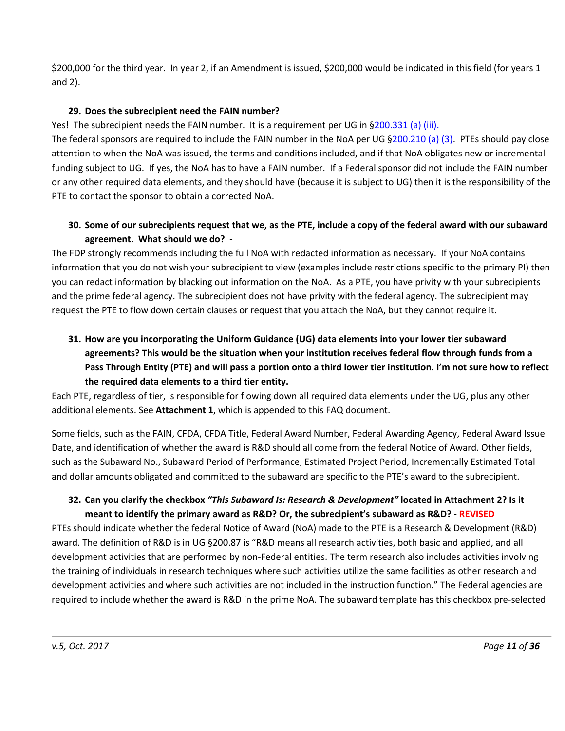\$200,000 for the third year. In year 2, if an Amendment is issued, \$200,000 would be indicated in this field (for years 1 and 2).

### **29. Does the subrecipient need the FAIN number?**

Yes! The subrecipient needs the FAIN number. It is a requirement per UG in [§200.331 \(a\) \(iii\).](http://www.ecfr.gov/cgi-bin/text-idx?SID=60623b20e6213558b4aa6ab7eb76b619&node=2:1.1.2.2.1.4&rgn=div6#se2.1.200_1331)

The federal sponsors are required to include the FAIN number in the NoA per UG [§200.210 \(a\) \(3\).](http://www.ecfr.gov/cgi-bin/text-idx?SID=60623b20e6213558b4aa6ab7eb76b619&node=2:1.1.2.2.1.3&rgn=div6#se2.1.200_1210) PTEs should pay close attention to when the NoA was issued, the terms and conditions included, and if that NoA obligates new or incremental funding subject to UG. If yes, the NoA has to have a FAIN number. If a Federal sponsor did not include the FAIN number or any other required data elements, and they should have (because it is subject to UG) then it is the responsibility of the PTE to contact the sponsor to obtain a corrected NoA.

# **30. Some of our subrecipients request that we, as the PTE, include a copy of the federal award with our subaward agreement. What should we do? -**

The FDP strongly recommends including the full NoA with redacted information as necessary. If your NoA contains information that you do not wish your subrecipient to view (examples include restrictions specific to the primary PI) then you can redact information by blacking out information on the NoA. As a PTE, you have privity with your subrecipients and the prime federal agency. The subrecipient does not have privity with the federal agency. The subrecipient may request the PTE to flow down certain clauses or request that you attach the NoA, but they cannot require it.

# **31. How are you incorporating the Uniform Guidance (UG) data elements into your lower tier subaward agreements? This would be the situation when your institution receives federal flow through funds from a Pass Through Entity (PTE) and will pass a portion onto a third lower tier institution. I'm not sure how to reflect the required data elements to a third tier entity.**

Each PTE, regardless of tier, is responsible for flowing down all required data elements under the UG, plus any other additional elements. See **Attachment 1**, which is appended to this FAQ document.

Some fields, such as the FAIN, CFDA, CFDA Title, Federal Award Number, Federal Awarding Agency, Federal Award Issue Date, and identification of whether the award is R&D should all come from the federal Notice of Award. Other fields, such as the Subaward No., Subaward Period of Performance, Estimated Project Period, Incrementally Estimated Total and dollar amounts obligated and committed to the subaward are specific to the PTE's award to the subrecipient.

### **32. Can you clarify the checkbox** *"This Subaward Is: Research & Development"* **located in Attachment 2? Is it meant to identify the primary award as R&D? Or, the subrecipient's subaward as R&D? - REVISED**

PTEs should indicate whether the federal Notice of Award (NoA) made to the PTE is a Research & Development (R&D) award. The definition of R&D is in UG §200.87 is "R&D means all research activities, both basic and applied, and all development activities that are performed by non-Federal entities. The term research also includes activities involving the training of individuals in research techniques where such activities utilize the same facilities as other research and development activities and where such activities are not included in the instruction function." The Federal agencies are required to include whether the award is R&D in the prime NoA. The subaward template has this checkbox pre-selected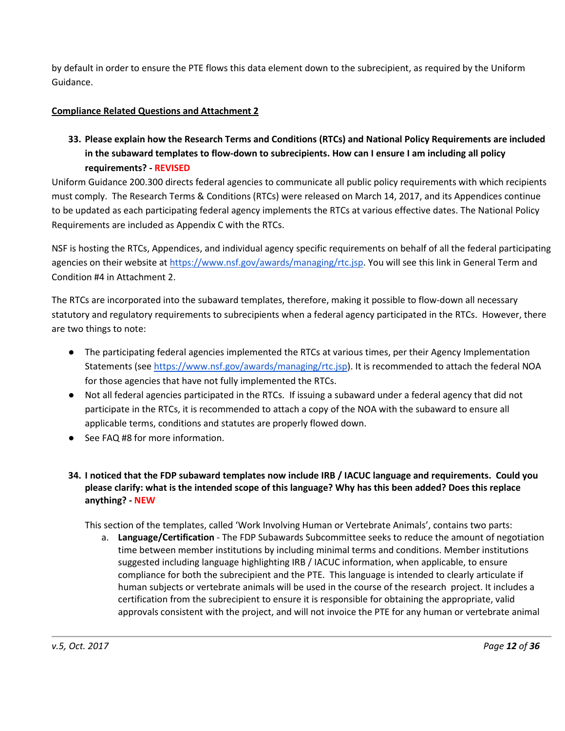by default in order to ensure the PTE flows this data element down to the subrecipient, as required by the Uniform Guidance.

### <span id="page-11-0"></span>**Compliance Related Questions and Attachment 2**

**33. Please explain how the Research Terms and Conditions (RTCs) and National Policy Requirements are included in the subaward templates to flow-down to subrecipients. How can I ensure I am including all policy requirements? - REVISED**

Uniform Guidance 200.300 directs federal agencies to communicate all public policy requirements with which recipients must comply. The Research Terms & Conditions (RTCs) were released on March 14, 2017, and its Appendices continue to be updated as each participating federal agency implements the RTCs at various effective dates. The National Policy Requirements are included as Appendix C with the RTCs.

NSF is hosting the RTCs, Appendices, and individual agency specific requirements on behalf of all the federal participating agencies on their website at [https://www.nsf.gov/awards/managing/rtc.jsp.](https://www.nsf.gov/awards/managing/rtc.jsp) You will see this link in General Term and Condition #4 in Attachment 2.

The RTCs are incorporated into the subaward templates, therefore, making it possible to flow-down all necessary statutory and regulatory requirements to subrecipients when a federal agency participated in the RTCs. However, there are two things to note:

- The participating federal agencies implemented the RTCs at various times, per their Agency Implementation Statements (se[e https://www.nsf.gov/awards/managing/rtc.jsp\)](https://www.nsf.gov/awards/managing/rtc.jsp). It is recommended to attach the federal NOA for those agencies that have not fully implemented the RTCs.
- Not all federal agencies participated in the RTCs. If issuing a subaward under a federal agency that did not participate in the RTCs, it is recommended to attach a copy of the NOA with the subaward to ensure all applicable terms, conditions and statutes are properly flowed down.
- See FAQ #8 for more information.
- **34. I noticed that the FDP subaward templates now include IRB / IACUC language and requirements. Could you please clarify: what is the intended scope of this language? Why has this been added? Does this replace anything? - NEW**

This section of the templates, called 'Work Involving Human or Vertebrate Animals', contains two parts:

a. **Language/Certification** - The FDP Subawards Subcommittee seeks to reduce the amount of negotiation time between member institutions by including minimal terms and conditions. Member institutions suggested including language highlighting IRB / IACUC information, when applicable, to ensure compliance for both the subrecipient and the PTE. This language is intended to clearly articulate if human subjects or vertebrate animals will be used in the course of the research project. It includes a certification from the subrecipient to ensure it is responsible for obtaining the appropriate, valid approvals consistent with the project, and will not invoice the PTE for any human or vertebrate animal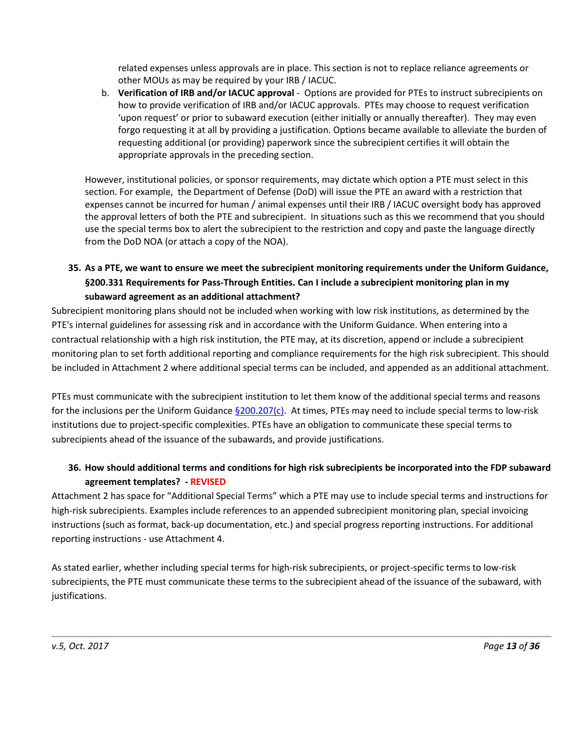related expenses unless approvals are in place. This section is not to replace reliance agreements or other MOUs as may be required by your IRB / IACUC.

b. **Verification of IRB and/or IACUC approval** - Options are provided for PTEs to instruct subrecipients on how to provide verification of IRB and/or IACUC approvals. PTEs may choose to request verification 'upon request' or prior to subaward execution (either initially or annually thereafter). They may even forgo requesting it at all by providing a justification. Options became available to alleviate the burden of requesting additional (or providing) paperwork since the subrecipient certifies it will obtain the appropriate approvals in the preceding section.

However, institutional policies, or sponsor requirements, may dictate which option a PTE must select in this section. For example, the Department of Defense (DoD) will issue the PTE an award with a restriction that expenses cannot be incurred for human / animal expenses until their IRB / IACUC oversight body has approved the approval letters of both the PTE and subrecipient. In situations such as this we recommend that you should use the special terms box to alert the subrecipient to the restriction and copy and paste the language directly from the DoD NOA (or attach a copy of the NOA).

# **35. As a PTE, we want to ensure we meet the subrecipient monitoring requirements under the Uniform Guidance, §200.331 Requirements for Pass-Through Entities. Can I include a subrecipient monitoring plan in my subaward agreement as an additional attachment?**

Subrecipient monitoring plans should not be included when working with low risk institutions, as determined by the PTE's internal guidelines for assessing risk and in accordance with the Uniform Guidance. When entering into a contractual relationship with a high risk institution, the PTE may, at its discretion, append or include a subrecipient monitoring plan to set forth additional reporting and compliance requirements for the high risk subrecipient. This should be included in Attachment 2 where additional special terms can be included, and appended as an additional attachment.

PTEs must communicate with the subrecipient institution to let them know of the additional special terms and reasons for the inclusions per the Uniform Guidance  $\frac{6200.207(c)}{c}$ . At times, PTEs may need to include special terms to low-risk institutions due to project-specific complexities. PTEs have an obligation to communicate these special terms to subrecipients ahead of the issuance of the subawards, and provide justifications.

# **36. How should additional terms and conditions for high risk subrecipients be incorporated into the FDP subaward agreement templates? - REVISED**

Attachment 2 has space for "Additional Special Terms" which a PTE may use to include special terms and instructions for high-risk subrecipients. Examples include references to an appended subrecipient monitoring plan, special invoicing instructions (such as format, back-up documentation, etc.) and special progress reporting instructions. For additional reporting instructions - use Attachment 4.

As stated earlier, whether including special terms for high-risk subrecipients, or project-specific terms to low-risk subrecipients, the PTE must communicate these terms to the subrecipient ahead of the issuance of the subaward, with justifications.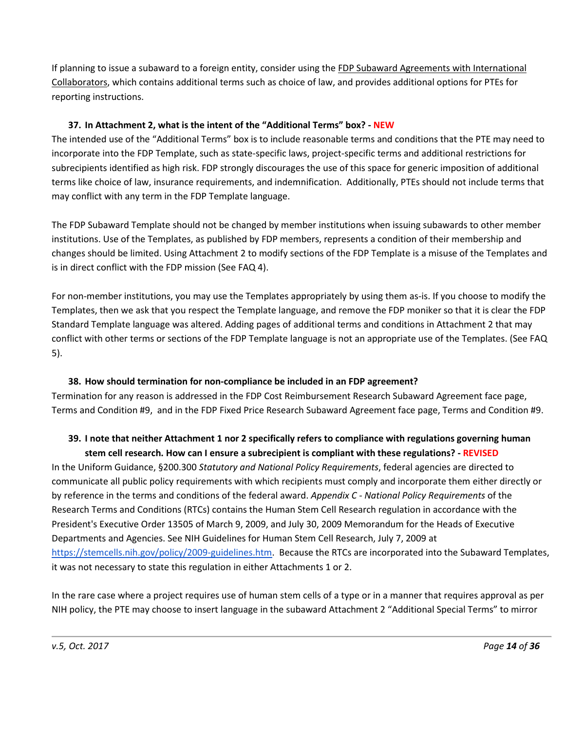If planning to issue a subaward to a foreign entity, consider using the FDP Subaward Agreements with International Collaborators, which contains additional terms such as choice of law, and provides additional options for PTEs for reporting instructions.

### **37. In Attachment 2, what is the intent of the "Additional Terms" box? - NEW**

The intended use of the "Additional Terms" box is to include reasonable terms and conditions that the PTE may need to incorporate into the FDP Template, such as state-specific laws, project-specific terms and additional restrictions for subrecipients identified as high risk. FDP strongly discourages the use of this space for generic imposition of additional terms like choice of law, insurance requirements, and indemnification. Additionally, PTEs should not include terms that may conflict with any term in the FDP Template language.

The FDP Subaward Template should not be changed by member institutions when issuing subawards to other member institutions. Use of the Templates, as published by FDP members, represents a condition of their membership and changes should be limited. Using Attachment 2 to modify sections of the FDP Template is a misuse of the Templates and is in direct conflict with the FDP mission (See FAQ 4).

For non-member institutions, you may use the Templates appropriately by using them as-is. If you choose to modify the Templates, then we ask that you respect the Template language, and remove the FDP moniker so that it is clear the FDP Standard Template language was altered. Adding pages of additional terms and conditions in Attachment 2 that may conflict with other terms or sections of the FDP Template language is not an appropriate use of the Templates. (See FAQ 5).

#### **38. How should termination for non-compliance be included in an FDP agreement?**

Termination for any reason is addressed in the FDP Cost Reimbursement Research Subaward Agreement face page, Terms and Condition #9, and in the FDP Fixed Price Research Subaward Agreement face page, Terms and Condition #9.

# **39. I note that neither Attachment 1 nor 2 specifically refers to compliance with regulations governing human stem cell research. How can I ensure a subrecipient is compliant with these regulations? - REVISED**

In the Uniform Guidance, §200.300 *Statutory and National Policy Requirements*, federal agencies are directed to communicate all public policy requirements with which recipients must comply and incorporate them either directly or by reference in the terms and conditions of the federal award. *Appendix C - National Policy Requirements* of the Research Terms and Conditions (RTCs) contains the Human Stem Cell Research regulation in accordance with the President's Executive Order 13505 of March 9, 2009, and July 30, 2009 Memorandum for the Heads of Executive Departments and Agencies. See NIH Guidelines for Human Stem Cell Research, July 7, 2009 at [https://stemcells.nih.gov/policy/2009-guidelines.htm.](https://stemcells.nih.gov/policy/2009-guidelines.htm) Because the RTCs are incorporated into the Subaward Templates, it was not necessary to state this regulation in either Attachments 1 or 2.

In the rare case where a project requires use of human stem cells of a type or in a manner that requires approval as per NIH policy, the PTE may choose to insert language in the subaward Attachment 2 "Additional Special Terms" to mirror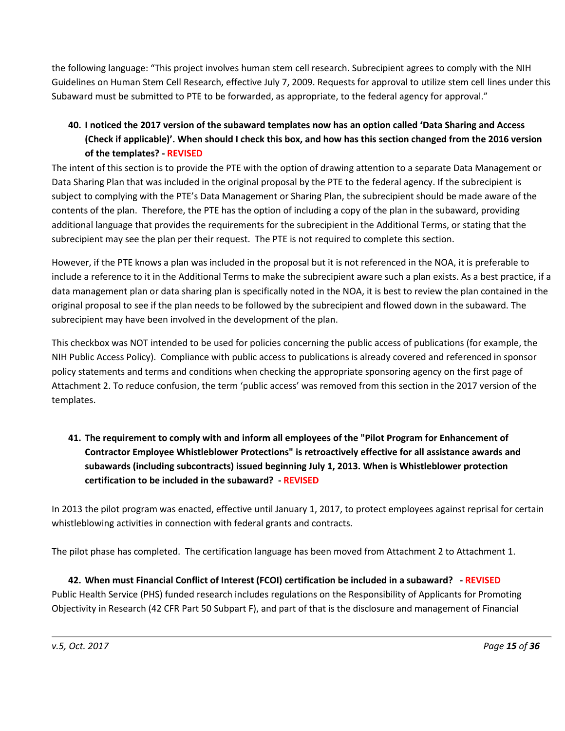the following language: "This project involves human stem cell research. Subrecipient agrees to comply with the NIH Guidelines on Human Stem Cell Research, effective July 7, 2009. Requests for approval to utilize stem cell lines under this Subaward must be submitted to PTE to be forwarded, as appropriate, to the federal agency for approval."

# **40. I noticed the 2017 version of the subaward templates now has an option called 'Data Sharing and Access (Check if applicable)'. When should I check this box, and how has this section changed from the 2016 version of the templates? - REVISED**

The intent of this section is to provide the PTE with the option of drawing attention to a separate Data Management or Data Sharing Plan that was included in the original proposal by the PTE to the federal agency. If the subrecipient is subject to complying with the PTE's Data Management or Sharing Plan, the subrecipient should be made aware of the contents of the plan. Therefore, the PTE has the option of including a copy of the plan in the subaward, providing additional language that provides the requirements for the subrecipient in the Additional Terms, or stating that the subrecipient may see the plan per their request. The PTE is not required to complete this section.

However, if the PTE knows a plan was included in the proposal but it is not referenced in the NOA, it is preferable to include a reference to it in the Additional Terms to make the subrecipient aware such a plan exists. As a best practice, if a data management plan or data sharing plan is specifically noted in the NOA, it is best to review the plan contained in the original proposal to see if the plan needs to be followed by the subrecipient and flowed down in the subaward. The subrecipient may have been involved in the development of the plan.

This checkbox was NOT intended to be used for policies concerning the public access of publications (for example, the NIH Public Access Policy). Compliance with public access to publications is already covered and referenced in sponsor policy statements and terms and conditions when checking the appropriate sponsoring agency on the first page of Attachment 2. To reduce confusion, the term 'public access' was removed from this section in the 2017 version of the templates.

# **41. The requirement to comply with and inform all employees of the "Pilot Program for Enhancement of Contractor Employee Whistleblower Protections" is retroactively effective for all assistance awards and subawards (including subcontracts) issued beginning July 1, 2013. When is Whistleblower protection certification to be included in the subaward? - REVISED**

In 2013 the pilot program was enacted, effective until January 1, 2017, to protect employees against reprisal for certain whistleblowing activities in connection with federal grants and contracts.

The pilot phase has completed. The certification language has been moved from Attachment 2 to Attachment 1.

# **42. When must Financial Conflict of Interest (FCOI) certification be included in a subaward? - REVISED** Public Health Service (PHS) funded research includes regulations on the Responsibility of Applicants for Promoting Objectivity in Research (42 CFR Part 50 Subpart F), and part of that is the disclosure and management of Financial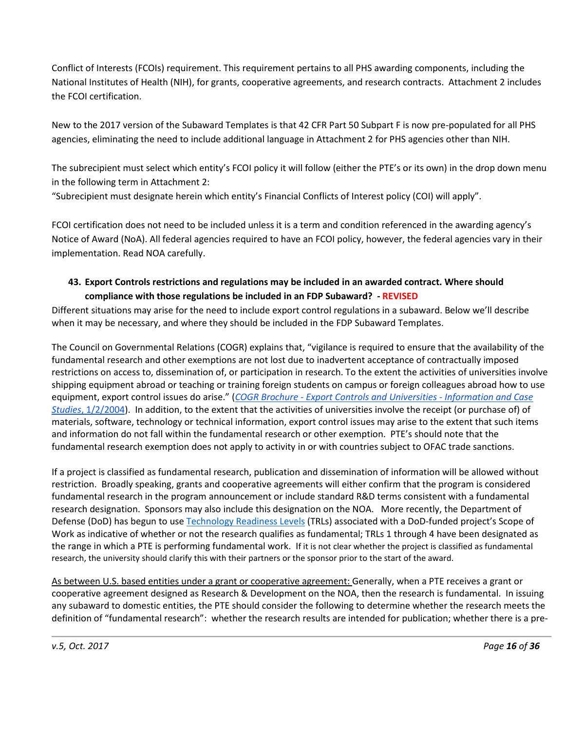Conflict of Interests (FCOIs) requirement. This requirement pertains to all PHS awarding components, including the National Institutes of Health (NIH), for grants, cooperative agreements, and research contracts. Attachment 2 includes the FCOI certification.

New to the 2017 version of the Subaward Templates is that 42 CFR Part 50 Subpart F is now pre-populated for all PHS agencies, eliminating the need to include additional language in Attachment 2 for PHS agencies other than NIH.

The subrecipient must select which entity's FCOI policy it will follow (either the PTE's or its own) in the drop down menu in the following term in Attachment 2:

"Subrecipient must designate herein which entity's Financial Conflicts of Interest policy (COI) will apply".

FCOI certification does not need to be included unless it is a term and condition referenced in the awarding agency's Notice of Award (NoA). All federal agencies required to have an FCOI policy, however, the federal agencies vary in their implementation. Read NOA carefully.

### **43. Export Controls restrictions and regulations may be included in an awarded contract. Where should compliance with those regulations be included in an FDP Subaward? - REVISED**

Different situations may arise for the need to include export control regulations in a subaward. Below we'll describe when it may be necessary, and where they should be included in the FDP Subaward Templates.

The Council on Governmental Relations (COGR) explains that, "vigilance is required to ensure that the availability of the fundamental research and other exemptions are not lost due to inadvertent acceptance of contractually imposed restrictions on access to, dissemination of, or participation in research. To the extent the activities of universities involve shipping equipment abroad or teaching or training foreign students on campus or foreign colleagues abroad how to use equipment, export control issues do arise." (*COGR Brochure - [Export Controls and Universities -](http://www.cogr.edu/sites/default/files/COGR_Brochure_-_Export_Controls_and_Universities_-_Information_and_Case_Studies.pdf) Information and Case Studies*[, 1/2/2004\)](http://www.cogr.edu/sites/default/files/COGR_Brochure_-_Export_Controls_and_Universities_-_Information_and_Case_Studies.pdf). In addition, to the extent that the activities of universities involve the receipt (or purchase of) of materials, software, technology or technical information, export control issues may arise to the extent that such items and information do not fall within the fundamental research or other exemption. PTE's should note that the fundamental research exemption does not apply to activity in or with countries subject to OFAC trade sanctions.

If a project is classified as fundamental research, publication and dissemination of information will be allowed without restriction. Broadly speaking, grants and cooperative agreements will either confirm that the program is considered fundamental research in the program announcement or include standard R&D terms consistent with a fundamental research designation. Sponsors may also include this designation on the NOA. More recently, the Department of Defense (DoD) has begun to use [Technology Readiness Levels](http://acqnotes.com/acqnote/tasks/technology-readiness-level) (TRLs) associated with a DoD-funded project's Scope of Work as indicative of whether or not the research qualifies as fundamental; TRLs 1 through 4 have been designated as the range in which a PTE is performing fundamental work. If it is not clear whether the project is classified as fundamental research, the university should clarify this with their partners or the sponsor prior to the start of the award.

As between U.S. based entities under a grant or cooperative agreement: Generally, when a PTE receives a grant or cooperative agreement designed as Research & Development on the NOA, then the research is fundamental. In issuing any subaward to domestic entities, the PTE should consider the following to determine whether the research meets the definition of "fundamental research": whether the research results are intended for publication; whether there is a pre-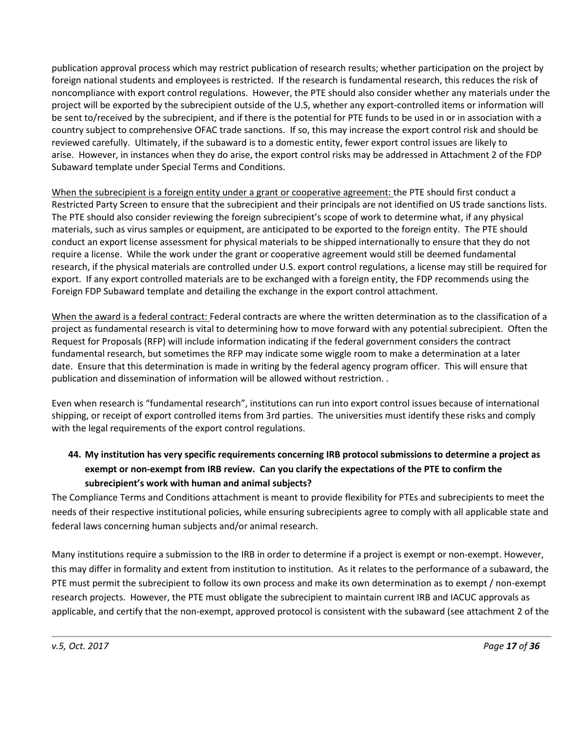publication approval process which may restrict publication of research results; whether participation on the project by foreign national students and employees is restricted. If the research is fundamental research, this reduces the risk of noncompliance with export control regulations. However, the PTE should also consider whether any materials under the project will be exported by the subrecipient outside of the U.S, whether any export-controlled items or information will be sent to/received by the subrecipient, and if there is the potential for PTE funds to be used in or in association with a country subject to comprehensive OFAC trade sanctions. If so, this may increase the export control risk and should be reviewed carefully. Ultimately, if the subaward is to a domestic entity, fewer export control issues are likely to arise. However, in instances when they do arise, the export control risks may be addressed in Attachment 2 of the FDP Subaward template under Special Terms and Conditions.

When the subrecipient is a foreign entity under a grant or cooperative agreement: the PTE should first conduct a Restricted Party Screen to ensure that the subrecipient and their principals are not identified on US trade sanctions lists. The PTE should also consider reviewing the foreign subrecipient's scope of work to determine what, if any physical materials, such as virus samples or equipment, are anticipated to be exported to the foreign entity. The PTE should conduct an export license assessment for physical materials to be shipped internationally to ensure that they do not require a license. While the work under the grant or cooperative agreement would still be deemed fundamental research, if the physical materials are controlled under U.S. export control regulations, a license may still be required for export. If any export controlled materials are to be exchanged with a foreign entity, the FDP recommends using the Foreign FDP Subaward template and detailing the exchange in the export control attachment.

When the award is a federal contract: Federal contracts are where the written determination as to the classification of a project as fundamental research is vital to determining how to move forward with any potential subrecipient. Often the Request for Proposals (RFP) will include information indicating if the federal government considers the contract fundamental research, but sometimes the RFP may indicate some wiggle room to make a determination at a later date. Ensure that this determination is made in writing by the federal agency program officer. This will ensure that publication and dissemination of information will be allowed without restriction. .

Even when research is "fundamental research", institutions can run into export control issues because of international shipping, or receipt of export controlled items from 3rd parties. The universities must identify these risks and comply with the legal requirements of the export control regulations.

# **44. My institution has very specific requirements concerning IRB protocol submissions to determine a project as exempt or non-exempt from IRB review. Can you clarify the expectations of the PTE to confirm the subrecipient's work with human and animal subjects?**

The Compliance Terms and Conditions attachment is meant to provide flexibility for PTEs and subrecipients to meet the needs of their respective institutional policies, while ensuring subrecipients agree to comply with all applicable state and federal laws concerning human subjects and/or animal research.

Many institutions require a submission to the IRB in order to determine if a project is exempt or non-exempt. However, this may differ in formality and extent from institution to institution. As it relates to the performance of a subaward, the PTE must permit the subrecipient to follow its own process and make its own determination as to exempt / non-exempt research projects. However, the PTE must obligate the subrecipient to maintain current IRB and IACUC approvals as applicable, and certify that the non-exempt, approved protocol is consistent with the subaward (see attachment 2 of the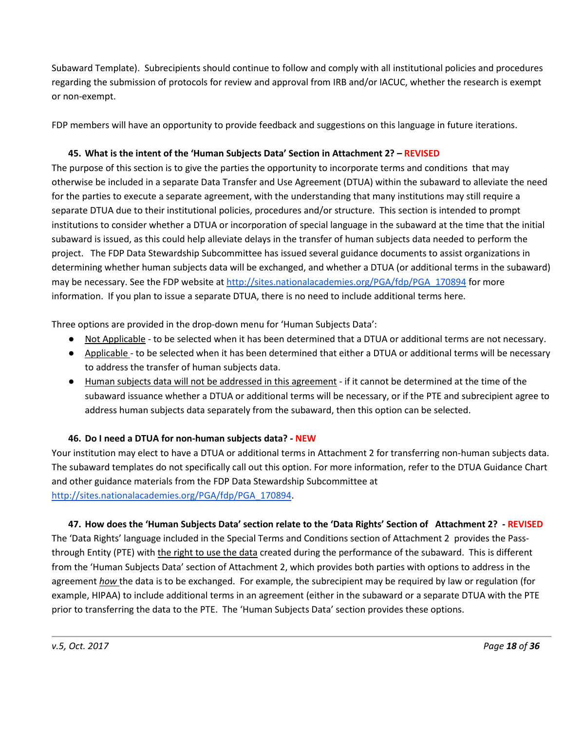Subaward Template). Subrecipients should continue to follow and comply with all institutional policies and procedures regarding the submission of protocols for review and approval from IRB and/or IACUC, whether the research is exempt or non-exempt.

FDP members will have an opportunity to provide feedback and suggestions on this language in future iterations.

### **45. What is the intent of the 'Human Subjects Data' Section in Attachment 2? – REVISED**

The purpose of this section is to give the parties the opportunity to incorporate terms and conditions that may otherwise be included in a separate Data Transfer and Use Agreement (DTUA) within the subaward to alleviate the need for the parties to execute a separate agreement, with the understanding that many institutions may still require a separate DTUA due to their institutional policies, procedures and/or structure. This section is intended to prompt institutions to consider whether a DTUA or incorporation of special language in the subaward at the time that the initial subaward is issued, as this could help alleviate delays in the transfer of human subjects data needed to perform the project. The FDP Data Stewardship Subcommittee has issued several guidance documents to assist organizations in determining whether human subjects data will be exchanged, and whether a DTUA (or additional terms in the subaward) may be necessary. See the FDP website a[t http://sites.nationalacademies.org/PGA/fdp/PGA\\_170894](http://sites.nationalacademies.org/PGA/fdp/PGA_170894) for more information. If you plan to issue a separate DTUA, there is no need to include additional terms here.

Three options are provided in the drop-down menu for 'Human Subjects Data':

- Not Applicable to be selected when it has been determined that a DTUA or additional terms are not necessary.
- Applicable to be selected when it has been determined that either a DTUA or additional terms will be necessary to address the transfer of human subjects data.
- Human subjects data will not be addressed in this agreement if it cannot be determined at the time of the subaward issuance whether a DTUA or additional terms will be necessary, or if the PTE and subrecipient agree to address human subjects data separately from the subaward, then this option can be selected.

#### **46. Do I need a DTUA for non-human subjects data? - NEW**

Your institution may elect to have a DTUA or additional terms in Attachment 2 for transferring non-human subjects data. The subaward templates do not specifically call out this option. For more information, refer to the DTUA Guidance Chart and other guidance materials from the FDP Data Stewardship Subcommittee at [http://sites.nationalacademies.org/PGA/fdp/PGA\\_170894.](http://sites.nationalacademies.org/PGA/fdp/PGA_170894)

#### **47. How does the 'Human Subjects Data' section relate to the 'Data Rights' Section of Attachment 2? - REVISED**

The 'Data Rights' language included in the Special Terms and Conditions section of Attachment 2 provides the Passthrough Entity (PTE) with the right to use the data created during the performance of the subaward. This is different from the 'Human Subjects Data' section of Attachment 2, which provides both parties with options to address in the agreement *how* the data is to be exchanged. For example, the subrecipient may be required by law or regulation (for example, HIPAA) to include additional terms in an agreement (either in the subaward or a separate DTUA with the PTE prior to transferring the data to the PTE. The 'Human Subjects Data' section provides these options.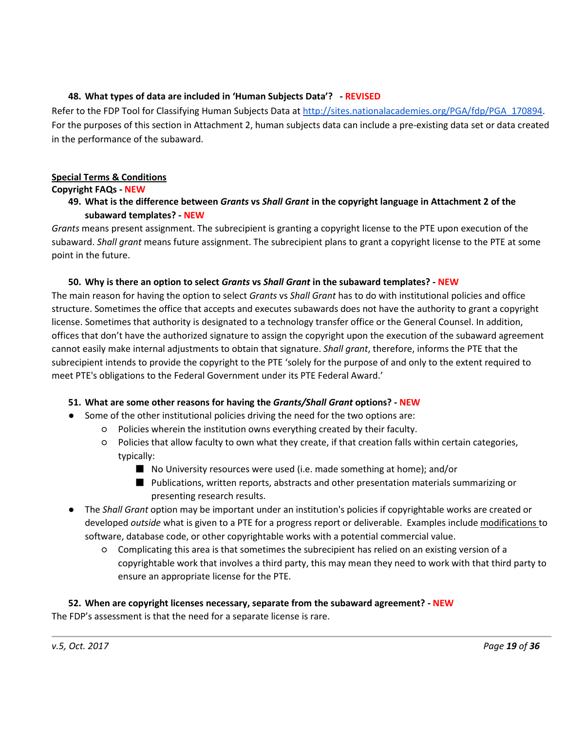### **48. What types of data are included in 'Human Subjects Data'? - REVISED**

Refer to the FDP Tool for Classifying Human Subjects Data at [http://sites.nationalacademies.org/PGA/fdp/PGA\\_170894.](http://sites.nationalacademies.org/PGA/fdp/PGA_170894) For the purposes of this section in Attachment 2, human subjects data can include a pre-existing data set or data created in the performance of the subaward.

### <span id="page-18-0"></span>**Special Terms & Conditions**

#### **Copyright FAQs - NEW**

### **49. What is the difference between** *Grants* **vs** *Shall Grant* **in the copyright language in Attachment 2 of the subaward templates? - NEW**

*Grants* means present assignment. The subrecipient is granting a copyright license to the PTE upon execution of the subaward. *Shall grant* means future assignment. The subrecipient plans to grant a copyright license to the PTE at some point in the future.

### **50. Why is there an option to select** *Grants* **vs** *Shall Grant* **in the subaward templates? - NEW**

The main reason for having the option to select *Grants* vs *Shall Grant* has to do with institutional policies and office structure. Sometimes the office that accepts and executes subawards does not have the authority to grant a copyright license. Sometimes that authority is designated to a technology transfer office or the General Counsel. In addition, offices that don't have the authorized signature to assign the copyright upon the execution of the subaward agreement cannot easily make internal adjustments to obtain that signature. *Shall grant*, therefore, informs the PTE that the subrecipient intends to provide the copyright to the PTE 'solely for the purpose of and only to the extent required to meet PTE's obligations to the Federal Government under its PTE Federal Award.'

### **51. What are some other reasons for having the** *Grants/Shall Grant* **options? - NEW**

- Some of the other institutional policies driving the need for the two options are:
	- Policies wherein the institution owns everything created by their faculty.
	- Policies that allow faculty to own what they create, if that creation falls within certain categories, typically:
		- No University resources were used (i.e. made something at home); and/or
		- Publications, written reports, abstracts and other presentation materials summarizing or presenting research results.
- The *Shall Grant* option may be important under an institution's policies if copyrightable works are created or developed *outside* what is given to a PTE for a progress report or deliverable. Examples include modifications to software, database code, or other copyrightable works with a potential commercial value.
	- Complicating this area is that sometimes the subrecipient has relied on an existing version of a copyrightable work that involves a third party, this may mean they need to work with that third party to ensure an appropriate license for the PTE.

**52. When are copyright licenses necessary, separate from the subaward agreement? - NEW** The FDP's assessment is that the need for a separate license is rare.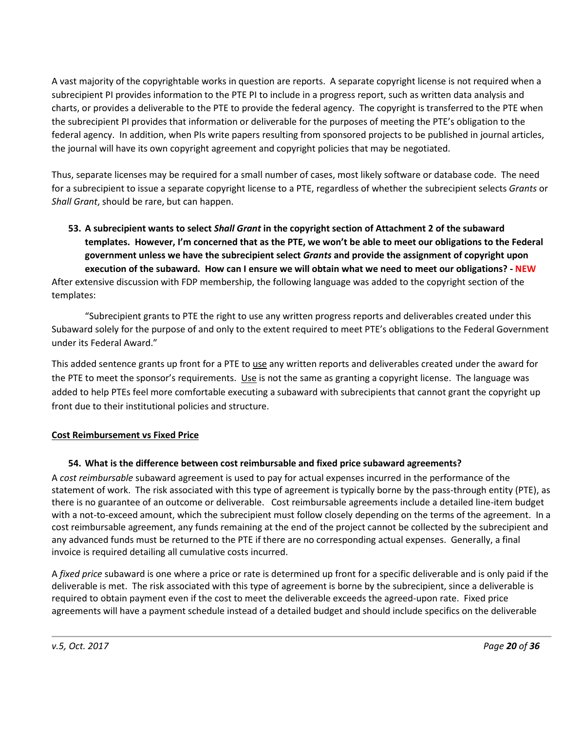A vast majority of the copyrightable works in question are reports. A separate copyright license is not required when a subrecipient PI provides information to the PTE PI to include in a progress report, such as written data analysis and charts, or provides a deliverable to the PTE to provide the federal agency. The copyright is transferred to the PTE when the subrecipient PI provides that information or deliverable for the purposes of meeting the PTE's obligation to the federal agency. In addition, when PIs write papers resulting from sponsored projects to be published in journal articles, the journal will have its own copyright agreement and copyright policies that may be negotiated.

Thus, separate licenses may be required for a small number of cases, most likely software or database code. The need for a subrecipient to issue a separate copyright license to a PTE, regardless of whether the subrecipient selects *Grants* or *Shall Grant*, should be rare, but can happen.

**53. A subrecipient wants to select** *Shall Grant* **in the copyright section of Attachment 2 of the subaward templates. However, I'm concerned that as the PTE, we won't be able to meet our obligations to the Federal government unless we have the subrecipient select** *Grants* **and provide the assignment of copyright upon execution of the subaward. How can I ensure we will obtain what we need to meet our obligations? - NEW** After extensive discussion with FDP membership, the following language was added to the copyright section of the

templates:

"Subrecipient grants to PTE the right to use any written progress reports and deliverables created under this Subaward solely for the purpose of and only to the extent required to meet PTE's obligations to the Federal Government under its Federal Award."

This added sentence grants up front for a PTE to use any written reports and deliverables created under the award for the PTE to meet the sponsor's requirements. Use is not the same as granting a copyright license. The language was added to help PTEs feel more comfortable executing a subaward with subrecipients that cannot grant the copyright up front due to their institutional policies and structure.

### <span id="page-19-0"></span>**Cost Reimbursement vs Fixed Price**

### **54. What is the difference between cost reimbursable and fixed price subaward agreements?**

A *cost reimbursable* subaward agreement is used to pay for actual expenses incurred in the performance of the statement of work. The risk associated with this type of agreement is typically borne by the pass-through entity (PTE), as there is no guarantee of an outcome or deliverable. Cost reimbursable agreements include a detailed line-item budget with a not-to-exceed amount, which the subrecipient must follow closely depending on the terms of the agreement. In a cost reimbursable agreement, any funds remaining at the end of the project cannot be collected by the subrecipient and any advanced funds must be returned to the PTE if there are no corresponding actual expenses. Generally, a final invoice is required detailing all cumulative costs incurred.

A *fixed price* subaward is one where a price or rate is determined up front for a specific deliverable and is only paid if the deliverable is met. The risk associated with this type of agreement is borne by the subrecipient, since a deliverable is required to obtain payment even if the cost to meet the deliverable exceeds the agreed-upon rate. Fixed price agreements will have a payment schedule instead of a detailed budget and should include specifics on the deliverable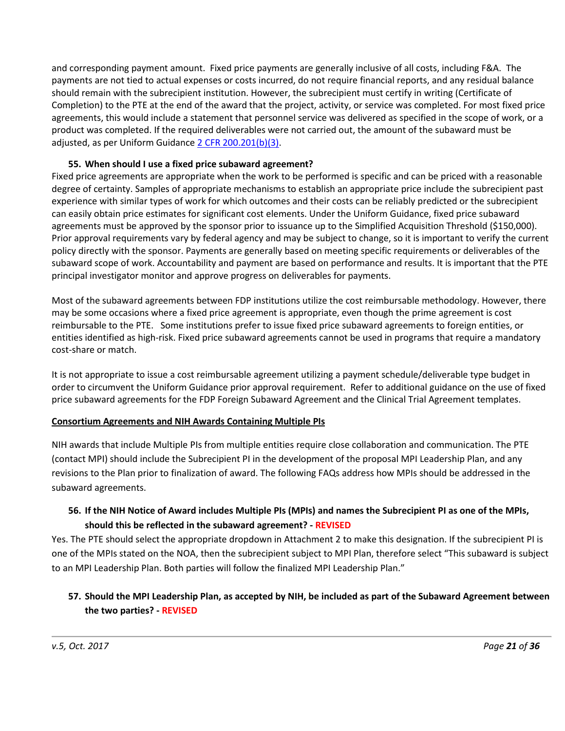and corresponding payment amount. Fixed price payments are generally inclusive of all costs, including F&A. The payments are not tied to actual expenses or costs incurred, do not require financial reports, and any residual balance should remain with the subrecipient institution. However, the subrecipient must certify in writing (Certificate of Completion) to the PTE at the end of the award that the project, activity, or service was completed. For most fixed price agreements, this would include a statement that personnel service was delivered as specified in the scope of work, or a product was completed. If the required deliverables were not carried out, the amount of the subaward must be adjusted, as per Uniform Guidance [2 CFR 200.201\(b\)\(3\).](http://www.ecfr.gov/cgi-bin/text-idx?SID=60623b20e6213558b4aa6ab7eb76b619&node=2:1.1.2.2.1.3&rgn=div6#se2.1.200_1201)

#### **55. When should I use a fixed price subaward agreement?**

Fixed price agreements are appropriate when the work to be performed is specific and can be priced with a reasonable degree of certainty. Samples of appropriate mechanisms to establish an appropriate price include the subrecipient past experience with similar types of work for which outcomes and their costs can be reliably predicted or the subrecipient can easily obtain price estimates for significant cost elements. Under the Uniform Guidance, fixed price subaward agreements must be approved by the sponsor prior to issuance up to the Simplified Acquisition Threshold (\$150,000). Prior approval requirements vary by federal agency and may be subject to change, so it is important to verify the current policy directly with the sponsor. Payments are generally based on meeting specific requirements or deliverables of the subaward scope of work. Accountability and payment are based on performance and results. It is important that the PTE principal investigator monitor and approve progress on deliverables for payments.

Most of the subaward agreements between FDP institutions utilize the cost reimbursable methodology. However, there may be some occasions where a fixed price agreement is appropriate, even though the prime agreement is cost reimbursable to the PTE. Some institutions prefer to issue fixed price subaward agreements to foreign entities, or entities identified as high-risk. Fixed price subaward agreements cannot be used in programs that require a mandatory cost-share or match.

It is not appropriate to issue a cost reimbursable agreement utilizing a payment schedule/deliverable type budget in order to circumvent the Uniform Guidance prior approval requirement. Refer to additional guidance on the use of fixed price subaward agreements for the FDP Foreign Subaward Agreement and the Clinical Trial Agreement templates.

#### <span id="page-20-0"></span>**Consortium Agreements and NIH Awards Containing Multiple PIs**

NIH awards that include Multiple PIs from multiple entities require close collaboration and communication. The PTE (contact MPI) should include the Subrecipient PI in the development of the proposal MPI Leadership Plan, and any revisions to the Plan prior to finalization of award. The following FAQs address how MPIs should be addressed in the subaward agreements.

### **56. If the NIH Notice of Award includes Multiple PIs (MPIs) and names the Subrecipient PI as one of the MPIs, should this be reflected in the subaward agreement? - REVISED**

Yes. The PTE should select the appropriate dropdown in Attachment 2 to make this designation. If the subrecipient PI is one of the MPIs stated on the NOA, then the subrecipient subject to MPI Plan, therefore select "This subaward is subject to an MPI Leadership Plan. Both parties will follow the finalized MPI Leadership Plan."

### **57. Should the MPI Leadership Plan, as accepted by NIH, be included as part of the Subaward Agreement between the two parties? - REVISED**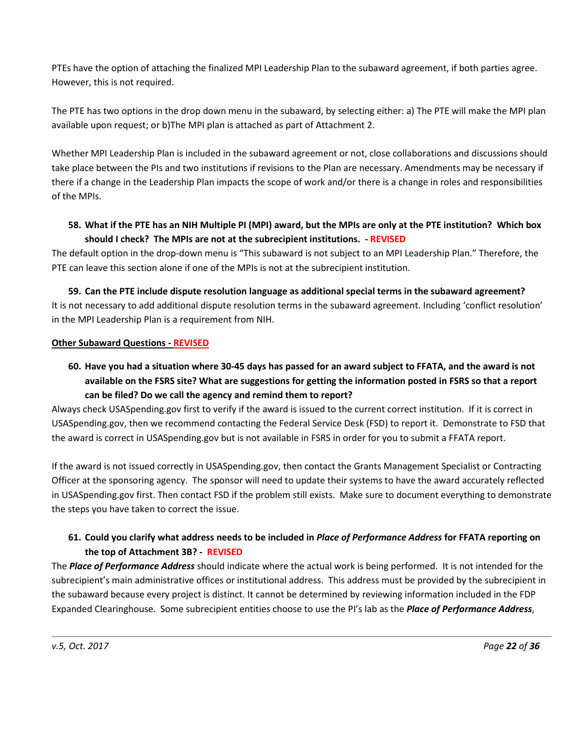PTEs have the option of attaching the finalized MPI Leadership Plan to the subaward agreement, if both parties agree. However, this is not required.

The PTE has two options in the drop down menu in the subaward, by selecting either: a) The PTE will make the MPI plan available upon request; or b)The MPI plan is attached as part of Attachment 2.

Whether MPI Leadership Plan is included in the subaward agreement or not, close collaborations and discussions should take place between the PIs and two institutions if revisions to the Plan are necessary. Amendments may be necessary if there if a change in the Leadership Plan impacts the scope of work and/or there is a change in roles and responsibilities of the MPIs.

# **58. What if the PTE has an NIH Multiple PI (MPI) award, but the MPIs are only at the PTE institution? Which box should I check? The MPIs are not at the subrecipient institutions. - REVISED**

The default option in the drop-down menu is "This subaward is not subject to an MPI Leadership Plan." Therefore, the PTE can leave this section alone if one of the MPIs is not at the subrecipient institution.

**59. Can the PTE include dispute resolution language as additional special terms in the subaward agreement?** It is not necessary to add additional dispute resolution terms in the subaward agreement. Including 'conflict resolution' in the MPI Leadership Plan is a requirement from NIH.

#### <span id="page-21-0"></span>**Other Subaward Questions - REVISED**

**60. Have you had a situation where 30-45 days has passed for an award subject to FFATA, and the award is not available on the FSRS site? What are suggestions for getting the information posted in FSRS so that a report can be filed? Do we call the agency and remind them to report?** 

Always check USASpending.gov first to verify if the award is issued to the current correct institution. If it is correct in USASpending.gov, then we recommend contacting the Federal Service Desk (FSD) to report it. Demonstrate to FSD that the award is correct in USASpending.gov but is not available in FSRS in order for you to submit a FFATA report.

If the award is not issued correctly in USASpending.gov, then contact the Grants Management Specialist or Contracting Officer at the sponsoring agency. The sponsor will need to update their systems to have the award accurately reflected in USASpending.gov first. Then contact FSD if the problem still exists. Make sure to document everything to demonstrate the steps you have taken to correct the issue.

# **61. Could you clarify what address needs to be included in** *Place of Performance Address* **for FFATA reporting on the top of Attachment 3B? - REVISED**

The *Place of Performance Address* should indicate where the actual work is being performed. It is not intended for the subrecipient's main administrative offices or institutional address. This address must be provided by the subrecipient in the subaward because every project is distinct. It cannot be determined by reviewing information included in the FDP Expanded Clearinghouse. Some subrecipient entities choose to use the PI's lab as the *Place of Performance Address*,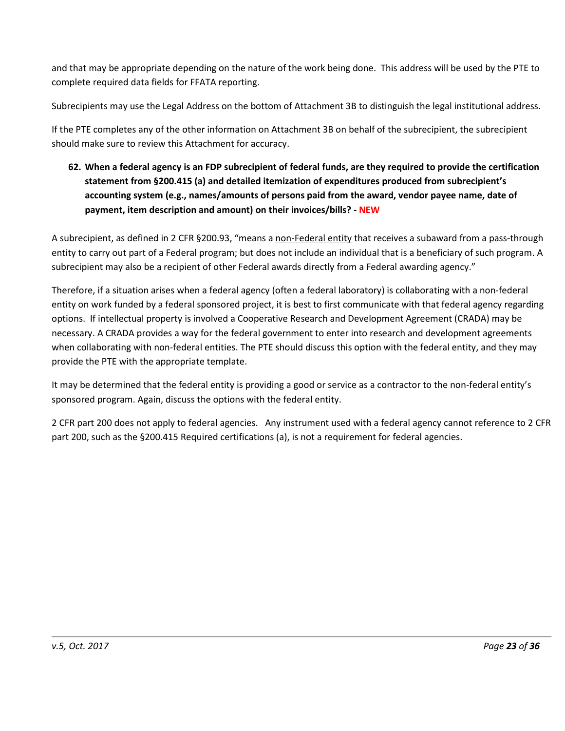and that may be appropriate depending on the nature of the work being done. This address will be used by the PTE to complete required data fields for FFATA reporting.

Subrecipients may use the Legal Address on the bottom of Attachment 3B to distinguish the legal institutional address.

If the PTE completes any of the other information on Attachment 3B on behalf of the subrecipient, the subrecipient should make sure to review this Attachment for accuracy.

**62. When a federal agency is an FDP subrecipient of federal funds, are they required to provide the certification statement from §200.415 (a) and detailed itemization of expenditures produced from subrecipient's accounting system (e.g., names/amounts of persons paid from the award, vendor payee name, date of payment, item description and amount) on their invoices/bills? - NEW**

A subrecipient, as defined in 2 CFR §200.93, "means a non-Federal entity that receives a subaward from a pass-through entity to carry out part of a Federal program; but does not include an individual that is a beneficiary of such program. A subrecipient may also be a recipient of other Federal awards directly from a Federal awarding agency."

Therefore, if a situation arises when a federal agency (often a federal laboratory) is collaborating with a non-federal entity on work funded by a federal sponsored project, it is best to first communicate with that federal agency regarding options. If intellectual property is involved a Cooperative Research and Development Agreement (CRADA) may be necessary. A CRADA provides a way for the federal government to enter into research and development agreements when collaborating with non-federal entities. The PTE should discuss this option with the federal entity, and they may provide the PTE with the appropriate template.

It may be determined that the federal entity is providing a good or service as a contractor to the non-federal entity's sponsored program. Again, discuss the options with the federal entity.

2 CFR part 200 does not apply to federal agencies. Any instrument used with a federal agency cannot reference to 2 CFR part 200, such as the §200.415 Required certifications (a), is not a requirement for federal agencies.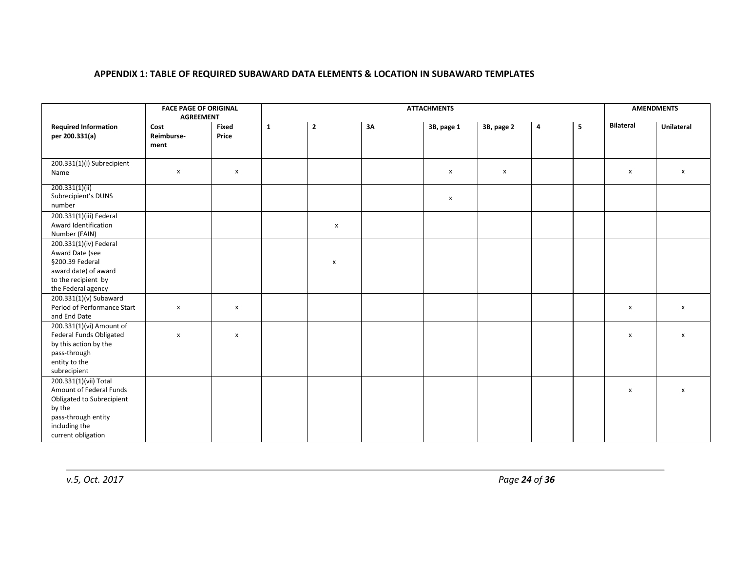#### **APPENDIX 1: TABLE OF REQUIRED SUBAWARD DATA ELEMENTS & LOCATION IN SUBAWARD TEMPLATES**

<span id="page-23-0"></span>

|                                                                                                                                                       | <b>FACE PAGE OF ORIGINAL</b><br><b>AGREEMENT</b> |                    | <b>ATTACHMENTS</b> |                |    |                           |              |                         |                | <b>AMENDMENTS</b>         |                    |
|-------------------------------------------------------------------------------------------------------------------------------------------------------|--------------------------------------------------|--------------------|--------------------|----------------|----|---------------------------|--------------|-------------------------|----------------|---------------------------|--------------------|
| <b>Required Information</b><br>per 200.331(a)                                                                                                         | Cost<br>Reimburse-<br>ment                       | Fixed<br>Price     | $\mathbf{1}$       | $\overline{2}$ | 3A | 3B, page 1                | 3B, page 2   | $\overline{\mathbf{4}}$ | 5 <sup>1</sup> | <b>Bilateral</b>          | Unilateral         |
| 200.331(1)(i) Subrecipient<br>Name                                                                                                                    | X                                                | $\pmb{\mathsf{x}}$ |                    |                |    | $\boldsymbol{\mathsf{x}}$ | $\mathbf{x}$ |                         |                | X                         | $\pmb{\mathsf{X}}$ |
| 200.331(1)(ii)<br>Subrecipient's DUNS<br>number                                                                                                       |                                                  |                    |                    |                |    | $\boldsymbol{\mathsf{x}}$ |              |                         |                |                           |                    |
| 200.331(1)(iii) Federal<br>Award Identification<br>Number (FAIN)                                                                                      |                                                  |                    |                    | $\pmb{\chi}$   |    |                           |              |                         |                |                           |                    |
| 200.331(1)(iv) Federal<br>Award Date (see<br>§200.39 Federal<br>award date) of award<br>to the recipient by<br>the Federal agency                     |                                                  |                    |                    | $\mathsf{x}$   |    |                           |              |                         |                |                           |                    |
| 200.331(1)(v) Subaward<br>Period of Performance Start<br>and End Date                                                                                 | $\pmb{\mathsf{x}}$                               | $\pmb{\times}$     |                    |                |    |                           |              |                         |                | $\boldsymbol{\mathsf{x}}$ | $\pmb{\mathsf{X}}$ |
| 200.331(1)(vi) Amount of<br>Federal Funds Obligated<br>by this action by the<br>pass-through<br>entity to the<br>subrecipient                         | $\pmb{\mathsf{x}}$                               | X                  |                    |                |    |                           |              |                         |                | X                         | $\pmb{\mathsf{x}}$ |
| 200.331(1)(vii) Total<br>Amount of Federal Funds<br>Obligated to Subrecipient<br>by the<br>pass-through entity<br>including the<br>current obligation |                                                  |                    |                    |                |    |                           |              |                         |                | $\boldsymbol{\mathsf{x}}$ | $\pmb{\mathsf{x}}$ |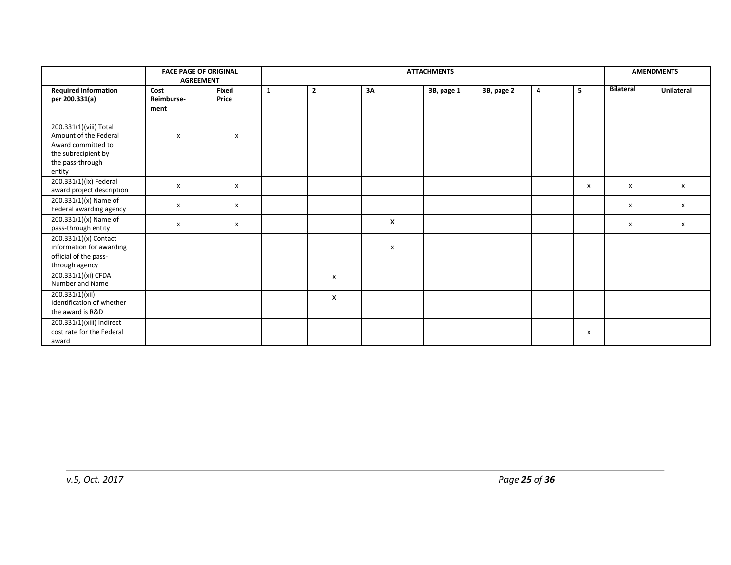|                                                                                                                            | <b>FACE PAGE OF ORIGINAL</b><br><b>AGREEMENT</b> |                           | <b>ATTACHMENTS</b> |                           |    |            |            |   |                           | <b>AMENDMENTS</b> |                           |
|----------------------------------------------------------------------------------------------------------------------------|--------------------------------------------------|---------------------------|--------------------|---------------------------|----|------------|------------|---|---------------------------|-------------------|---------------------------|
| <b>Required Information</b><br>per 200.331(a)                                                                              | Cost<br>Reimburse-<br>ment                       | Fixed<br>Price            | 1                  | $\overline{2}$            | 3Α | 3B, page 1 | 3B, page 2 | 4 | 5                         | <b>Bilateral</b>  | Unilateral                |
| 200.331(1)(viii) Total<br>Amount of the Federal<br>Award committed to<br>the subrecipient by<br>the pass-through<br>entity | $\mathsf{x}$                                     | $\mathsf{x}$              |                    |                           |    |            |            |   |                           |                   |                           |
| 200.331(1)(ix) Federal<br>award project description                                                                        | X                                                | $\boldsymbol{\mathsf{x}}$ |                    |                           |    |            |            |   | $\boldsymbol{\mathsf{x}}$ | X                 | $\boldsymbol{\mathsf{x}}$ |
| 200.331(1)(x) Name of<br>Federal awarding agency                                                                           | X                                                | $\mathsf{x}$              |                    |                           |    |            |            |   |                           | X                 | X                         |
| 200.331(1)(x) Name of<br>pass-through entity                                                                               | X                                                | $\boldsymbol{\mathsf{x}}$ |                    |                           | X  |            |            |   |                           | x                 | $\boldsymbol{\mathsf{x}}$ |
| 200.331(1)(x) Contact<br>information for awarding<br>official of the pass-<br>through agency                               |                                                  |                           |                    |                           | X  |            |            |   |                           |                   |                           |
| 200.331(1)(xi) CFDA<br>Number and Name                                                                                     |                                                  |                           |                    | $\mathsf{x}$              |    |            |            |   |                           |                   |                           |
| 200.331(1)(xii)<br>Identification of whether<br>the award is R&D                                                           |                                                  |                           |                    | $\boldsymbol{\mathsf{x}}$ |    |            |            |   |                           |                   |                           |
| 200.331(1)(xiii) Indirect<br>cost rate for the Federal<br>award                                                            |                                                  |                           |                    |                           |    |            |            |   | X                         |                   |                           |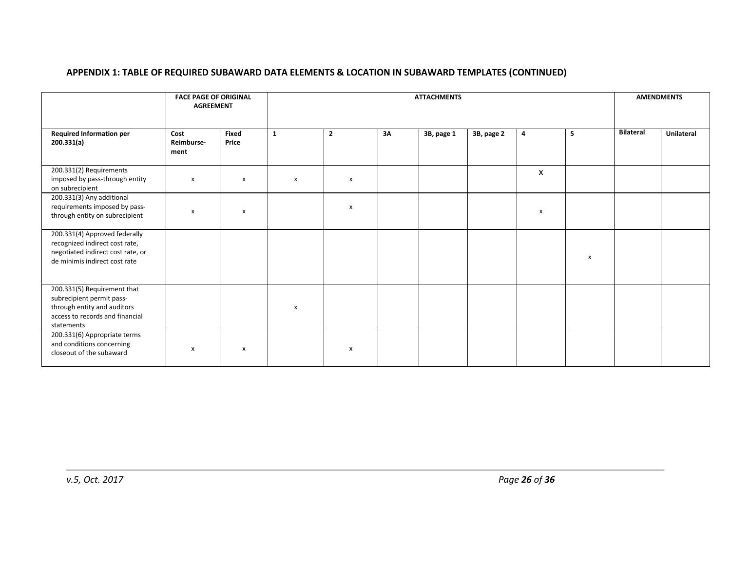#### **APPENDIX 1: TABLE OF REQUIRED SUBAWARD DATA ELEMENTS & LOCATION IN SUBAWARD TEMPLATES (CONTINUED)**

|                                                                                                                                          | <b>ATTACHMENTS</b>         |                           |              |                           |    |            |            |   | <b>AMENDMENTS</b> |                  |            |
|------------------------------------------------------------------------------------------------------------------------------------------|----------------------------|---------------------------|--------------|---------------------------|----|------------|------------|---|-------------------|------------------|------------|
| <b>Required Information per</b><br>200.331(a)                                                                                            | Cost<br>Reimburse-<br>ment | Fixed<br>Price            | $\mathbf{1}$ | $\overline{2}$            | 3Α | 3B, page 1 | 3B, page 2 | 4 | 5                 | <b>Bilateral</b> | Unilateral |
| 200.331(2) Requirements<br>imposed by pass-through entity<br>on subrecipient                                                             | X                          | X                         | x            | $\boldsymbol{\mathsf{x}}$ |    |            |            | X |                   |                  |            |
| 200.331(3) Any additional<br>requirements imposed by pass-<br>through entity on subrecipient                                             | X                          | $\boldsymbol{\mathsf{x}}$ |              | $\boldsymbol{\mathsf{x}}$ |    |            |            | X |                   |                  |            |
| 200.331(4) Approved federally<br>recognized indirect cost rate,<br>negotiated indirect cost rate, or<br>de minimis indirect cost rate    |                            |                           |              |                           |    |            |            |   | X                 |                  |            |
| 200.331(5) Requirement that<br>subrecipient permit pass-<br>through entity and auditors<br>access to records and financial<br>statements |                            |                           | x            |                           |    |            |            |   |                   |                  |            |
| 200.331(6) Appropriate terms<br>and conditions concerning<br>closeout of the subaward                                                    | x                          | X                         |              | X                         |    |            |            |   |                   |                  |            |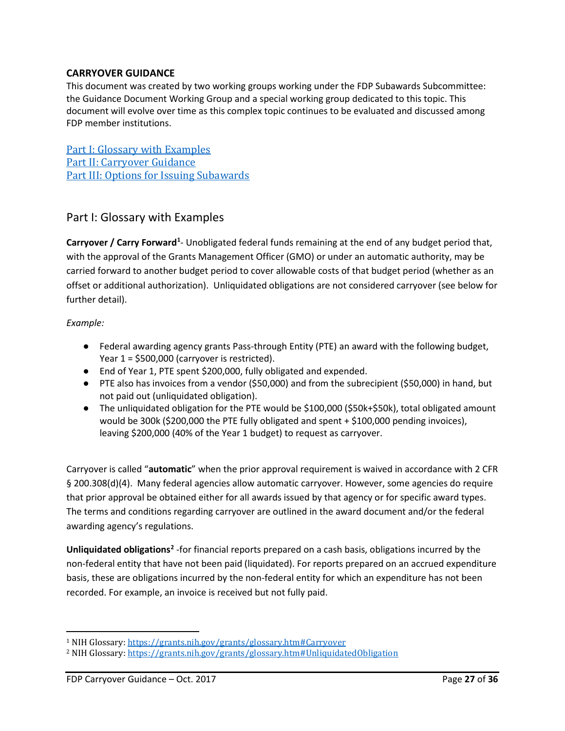### <span id="page-26-0"></span>**CARRYOVER GUIDANCE**

This document was created by two working groups working under the FDP Subawards Subcommittee: the Guidance Document Working Group and a special working group dedicated to this topic. This document will evolve over time as this complex topic continues to be evaluated and discussed among FDP member institutions.

[Part I: Glossary with Examples](#page-26-1) [Part II: Carryover Guidance](#page-29-0) [Part III: Options for Issuing Subawards](#page-32-0)

# <span id="page-26-1"></span>Part I: Glossary with Examples

Carryover / Carry Forward<sup>[1](#page-26-2)</sup>- Unobligated federal funds remaining at the end of any budget period that, with the approval of the Grants Management Officer (GMO) or under an automatic authority, may be carried forward to another budget period to cover allowable costs of that budget period (whether as an offset or additional authorization). Unliquidated obligations are not considered carryover (see below for further detail).

#### *Example:*

l

- Federal awarding agency grants Pass-through Entity (PTE) an award with the following budget, Year 1 = \$500,000 (carryover is restricted).
- End of Year 1, PTE spent \$200,000, fully obligated and expended.
- PTE also has invoices from a vendor (\$50,000) and from the subrecipient (\$50,000) in hand, but not paid out (unliquidated obligation).
- The unliquidated obligation for the PTE would be \$100,000 (\$50k+\$50k), total obligated amount would be 300k (\$200,000 the PTE fully obligated and spent + \$100,000 pending invoices), leaving \$200,000 (40% of the Year 1 budget) to request as carryover.

Carryover is called "**automatic**" when the prior approval requirement is waived in accordance with 2 CFR § 200.308(d)(4). Many federal agencies allow automatic carryover. However, some agencies do require that prior approval be obtained either for all awards issued by that agency or for specific award types. The terms and conditions regarding carryover are outlined in the award document and/or the federal awarding agency's regulations.

**Unliquidated obligations[2](#page-26-3)** -for financial reports prepared on a cash basis, obligations incurred by the non-federal entity that have not been paid (liquidated). For reports prepared on an accrued expenditure basis, these are obligations incurred by the non-federal entity for which an expenditure has not been recorded. For example, an invoice is received but not fully paid.

<span id="page-26-2"></span><sup>1</sup> NIH Glossary[: https://grants.nih.gov/grants/glossary.htm#Carryover](https://grants.nih.gov/grants/glossary.htm#Carryover)

<span id="page-26-3"></span><sup>2</sup> NIH Glossary[: https://grants.nih.gov/grants/glossary.htm#UnliquidatedObligation](https://grants.nih.gov/grants/glossary.htm#UnliquidatedObligation)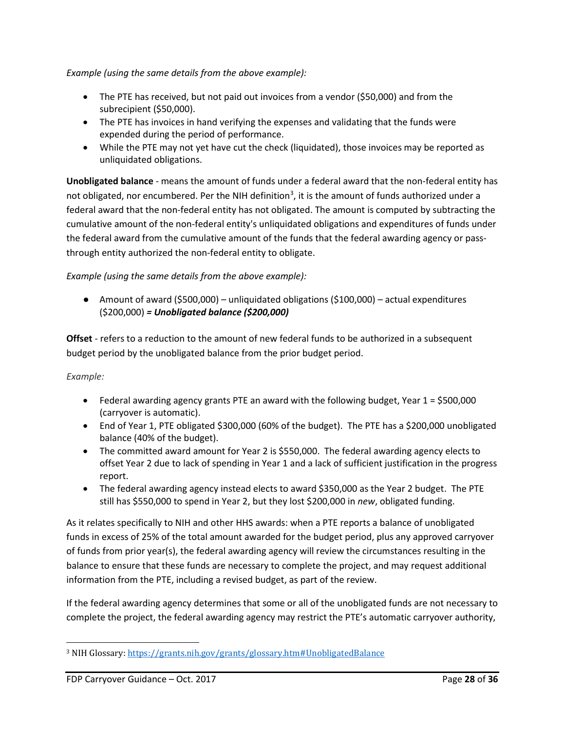*Example (using the same details from the above example):*

- The PTE has received, but not paid out invoices from a vendor (\$50,000) and from the subrecipient (\$50,000).
- The PTE has invoices in hand verifying the expenses and validating that the funds were expended during the period of performance.
- While the PTE may not yet have cut the check (liquidated), those invoices may be reported as unliquidated obligations.

**Unobligated balance** - means the amount of funds under a federal award that the non-federal entity has not obligated, nor encumbered. Per the NIH definition<sup>[3](#page-27-0)</sup>, it is the amount of funds authorized under a federal award that the non-federal entity has not obligated. The amount is computed by subtracting the cumulative amount of the non-federal entity's unliquidated obligations and expenditures of funds under the federal award from the cumulative amount of the funds that the federal awarding agency or passthrough entity authorized the non-federal entity to obligate.

#### *Example (using the same details from the above example):*

● Amount of award (\$500,000) – unliquidated obligations (\$100,000) – actual expenditures (\$200,000) *= Unobligated balance (\$200,000)*

**Offset** - refers to a reduction to the amount of new federal funds to be authorized in a subsequent budget period by the unobligated balance from the prior budget period.

#### *Example:*

 $\overline{\phantom{a}}$ 

- Federal awarding agency grants PTE an award with the following budget, Year 1 = \$500,000 (carryover is automatic).
- End of Year 1, PTE obligated \$300,000 (60% of the budget). The PTE has a \$200,000 unobligated balance (40% of the budget).
- The committed award amount for Year 2 is \$550,000. The federal awarding agency elects to offset Year 2 due to lack of spending in Year 1 and a lack of sufficient justification in the progress report.
- The federal awarding agency instead elects to award \$350,000 as the Year 2 budget. The PTE still has \$550,000 to spend in Year 2, but they lost \$200,000 in *new*, obligated funding.

As it relates specifically to NIH and other HHS awards: when a PTE reports a balance of unobligated funds in excess of 25% of the total amount awarded for the budget period, plus any approved carryover of funds from prior year(s), the federal awarding agency will review the circumstances resulting in the balance to ensure that these funds are necessary to complete the project, and may request additional information from the PTE, including a revised budget, as part of the review.

If the federal awarding agency determines that some or all of the unobligated funds are not necessary to complete the project, the federal awarding agency may restrict the PTE's automatic carryover authority,

<span id="page-27-0"></span><sup>3</sup> NIH Glossary[: https://grants.nih.gov/grants/glossary.htm#UnobligatedBalance](https://grants.nih.gov/grants/glossary.htm#UnobligatedBalance)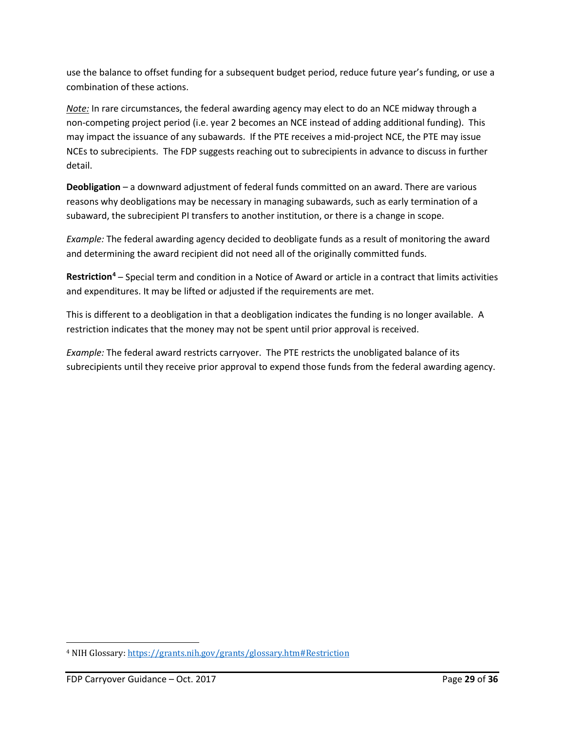use the balance to offset funding for a subsequent budget period, reduce future year's funding, or use a combination of these actions.

*Note:* In rare circumstances, the federal awarding agency may elect to do an NCE midway through a non-competing project period (i.e. year 2 becomes an NCE instead of adding additional funding). This may impact the issuance of any subawards. If the PTE receives a mid-project NCE, the PTE may issue NCEs to subrecipients. The FDP suggests reaching out to subrecipients in advance to discuss in further detail.

**Deobligation** – a downward adjustment of federal funds committed on an award. There are various reasons why deobligations may be necessary in managing subawards, such as early termination of a subaward, the subrecipient PI transfers to another institution, or there is a change in scope.

*Example:* The federal awarding agency decided to deobligate funds as a result of monitoring the award and determining the award recipient did not need all of the originally committed funds.

**Restriction[4](#page-28-0)** – Special term and condition in a Notice of Award or article in a contract that limits activities and expenditures. It may be lifted or adjusted if the requirements are met.

This is different to a deobligation in that a deobligation indicates the funding is no longer available. A restriction indicates that the money may not be spent until prior approval is received.

*Example:* The federal award restricts carryover. The PTE restricts the unobligated balance of its subrecipients until they receive prior approval to expend those funds from the federal awarding agency.

 $\overline{\phantom{a}}$ 

<span id="page-28-0"></span><sup>4</sup> NIH Glossary[: https://grants.nih.gov/grants/glossary.htm#Restriction](https://grants.nih.gov/grants/glossary.htm#Restriction)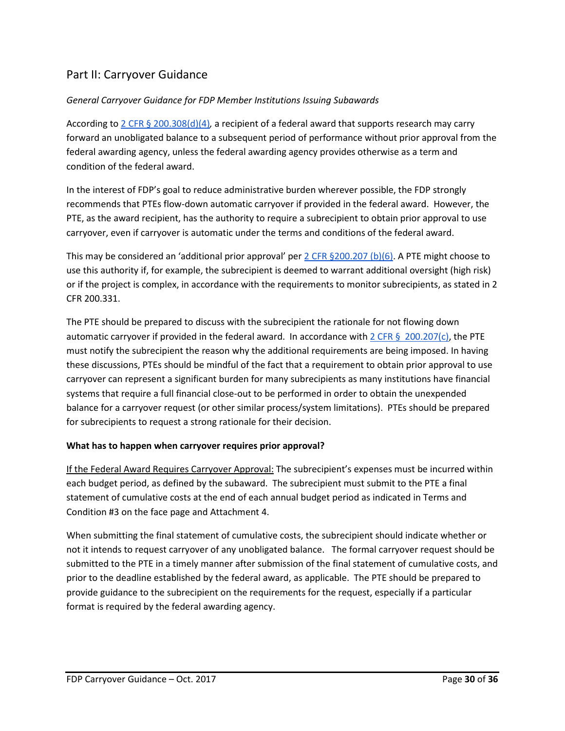# <span id="page-29-0"></span>Part II: Carryover Guidance

#### *General Carryover Guidance for FDP Member Institutions Issuing Subawards*

According to [2 CFR § 200.308\(d\)\(4\)](http://www.ecfr.gov/cgi-bin/text-idx?SID=60623b20e6213558b4aa6ab7eb76b619&node=2:1.1.2.2.1.4&rgn=div6#se2.1.200_1308)*,* a recipient of a federal award that supports research may carry forward an unobligated balance to a subsequent period of performance without prior approval from the federal awarding agency, unless the federal awarding agency provides otherwise as a term and condition of the federal award.

In the interest of FDP's goal to reduce administrative burden wherever possible, the FDP strongly recommends that PTEs flow-down automatic carryover if provided in the federal award. However, the PTE, as the award recipient, has the authority to require a subrecipient to obtain prior approval to use carryover, even if carryover is automatic under the terms and conditions of the federal award.

This may be considered an 'additional prior approval' pe[r 2 CFR §200.207 \(b\)\(6\).](http://www.ecfr.gov/cgi-bin/text-idx?SID=60623b20e6213558b4aa6ab7eb76b619&node=2:1.1.2.2.1.3&rgn=div6#se2.1.200_1207) A PTE might choose to use this authority if, for example, the subrecipient is deemed to warrant additional oversight (high risk) or if the project is complex, in accordance with the requirements to monitor subrecipients, as stated in 2 CFR 200.331.

The PTE should be prepared to discuss with the subrecipient the rationale for not flowing down automatic carryover if provided in the federal award. In accordance with [2 CFR § 200.207\(c\),](http://www.ecfr.gov/cgi-bin/text-idx?SID=60623b20e6213558b4aa6ab7eb76b619&node=2:1.1.2.2.1.3&rgn=div6#se2.1.200_1207) the PTE must notify the subrecipient the reason why the additional requirements are being imposed. In having these discussions, PTEs should be mindful of the fact that a requirement to obtain prior approval to use carryover can represent a significant burden for many subrecipients as many institutions have financial systems that require a full financial close-out to be performed in order to obtain the unexpended balance for a carryover request (or other similar process/system limitations). PTEs should be prepared for subrecipients to request a strong rationale for their decision.

#### **What has to happen when carryover requires prior approval?**

If the Federal Award Requires Carryover Approval: The subrecipient's expenses must be incurred within each budget period, as defined by the subaward. The subrecipient must submit to the PTE a final statement of cumulative costs at the end of each annual budget period as indicated in Terms and Condition #3 on the face page and Attachment 4.

When submitting the final statement of cumulative costs, the subrecipient should indicate whether or not it intends to request carryover of any unobligated balance. The formal carryover request should be submitted to the PTE in a timely manner after submission of the final statement of cumulative costs, and prior to the deadline established by the federal award, as applicable. The PTE should be prepared to provide guidance to the subrecipient on the requirements for the request, especially if a particular format is required by the federal awarding agency.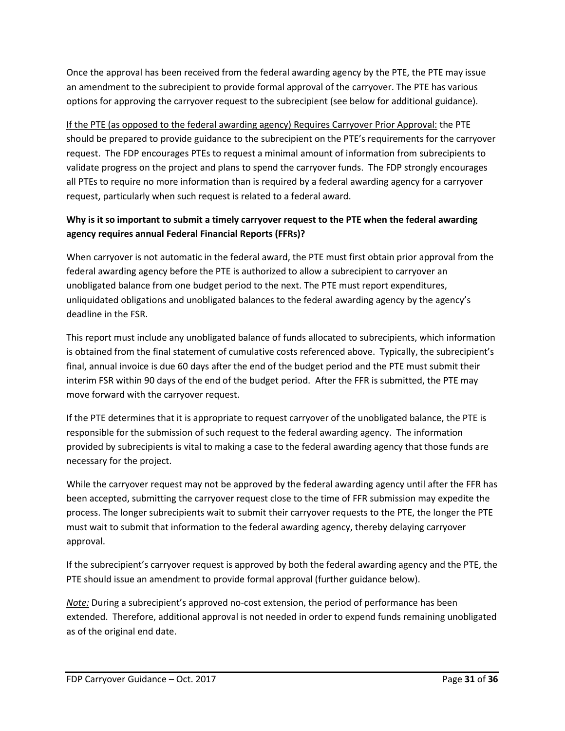Once the approval has been received from the federal awarding agency by the PTE, the PTE may issue an amendment to the subrecipient to provide formal approval of the carryover. The PTE has various options for approving the carryover request to the subrecipient (see below for additional guidance).

If the PTE (as opposed to the federal awarding agency) Requires Carryover Prior Approval: the PTE should be prepared to provide guidance to the subrecipient on the PTE's requirements for the carryover request. The FDP encourages PTEs to request a minimal amount of information from subrecipients to validate progress on the project and plans to spend the carryover funds. The FDP strongly encourages all PTEs to require no more information than is required by a federal awarding agency for a carryover request, particularly when such request is related to a federal award.

# **Why is it so important to submit a timely carryover request to the PTE when the federal awarding agency requires annual Federal Financial Reports (FFRs)?**

When carryover is not automatic in the federal award, the PTE must first obtain prior approval from the federal awarding agency before the PTE is authorized to allow a subrecipient to carryover an unobligated balance from one budget period to the next. The PTE must report expenditures, unliquidated obligations and unobligated balances to the federal awarding agency by the agency's deadline in the FSR.

This report must include any unobligated balance of funds allocated to subrecipients, which information is obtained from the final statement of cumulative costs referenced above. Typically, the subrecipient's final, annual invoice is due 60 days after the end of the budget period and the PTE must submit their interim FSR within 90 days of the end of the budget period. After the FFR is submitted, the PTE may move forward with the carryover request.

If the PTE determines that it is appropriate to request carryover of the unobligated balance, the PTE is responsible for the submission of such request to the federal awarding agency. The information provided by subrecipients is vital to making a case to the federal awarding agency that those funds are necessary for the project.

While the carryover request may not be approved by the federal awarding agency until after the FFR has been accepted, submitting the carryover request close to the time of FFR submission may expedite the process. The longer subrecipients wait to submit their carryover requests to the PTE, the longer the PTE must wait to submit that information to the federal awarding agency, thereby delaying carryover approval.

If the subrecipient's carryover request is approved by both the federal awarding agency and the PTE, the PTE should issue an amendment to provide formal approval (further guidance below).

*Note:* During a subrecipient's approved no-cost extension, the period of performance has been extended. Therefore, additional approval is not needed in order to expend funds remaining unobligated as of the original end date.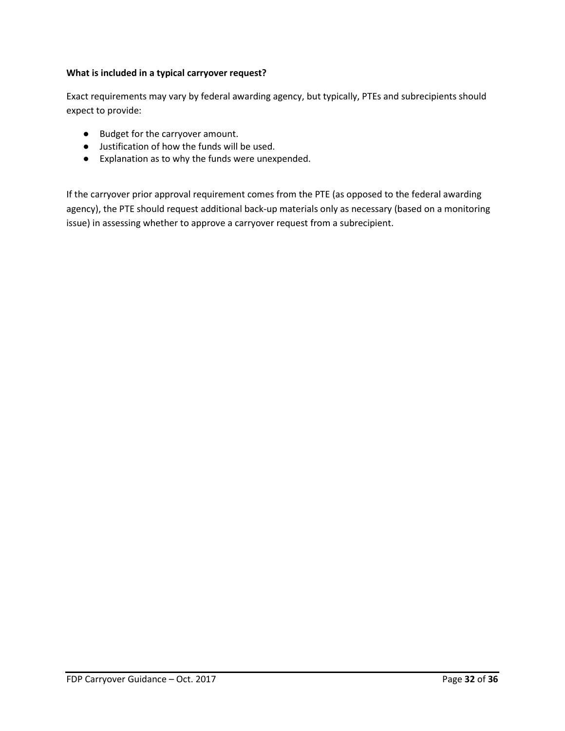#### **What is included in a typical carryover request?**

Exact requirements may vary by federal awarding agency, but typically, PTEs and subrecipients should expect to provide:

- Budget for the carryover amount.
- Justification of how the funds will be used.
- Explanation as to why the funds were unexpended.

If the carryover prior approval requirement comes from the PTE (as opposed to the federal awarding agency), the PTE should request additional back-up materials only as necessary (based on a monitoring issue) in assessing whether to approve a carryover request from a subrecipient.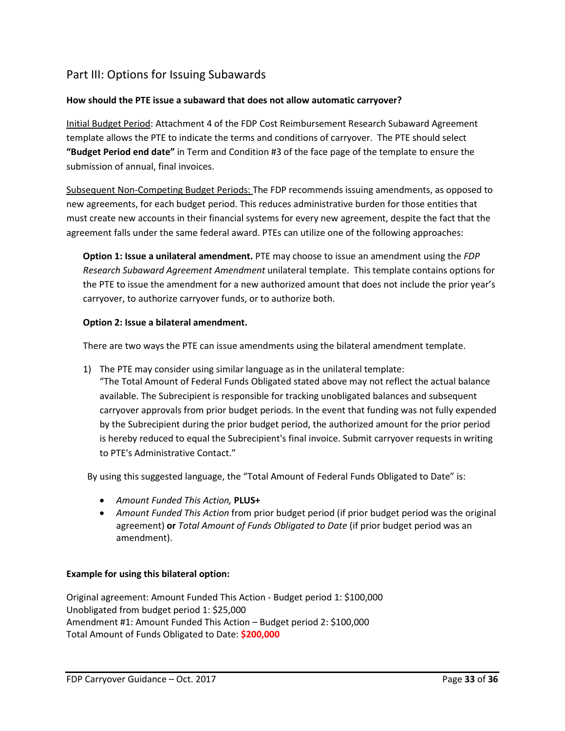# <span id="page-32-0"></span>Part III: Options for Issuing Subawards

### **How should the PTE issue a subaward that does not allow automatic carryover?**

Initial Budget Period: Attachment 4 of the FDP Cost Reimbursement Research Subaward Agreement template allows the PTE to indicate the terms and conditions of carryover. The PTE should select **"Budget Period end date"** in Term and Condition #3 of the face page of the template to ensure the submission of annual, final invoices.

Subsequent Non-Competing Budget Periods: The FDP recommends issuing amendments, as opposed to new agreements, for each budget period. This reduces administrative burden for those entities that must create new accounts in their financial systems for every new agreement, despite the fact that the agreement falls under the same federal award. PTEs can utilize one of the following approaches:

**Option 1: Issue a unilateral amendment.** PTE may choose to issue an amendment using the *FDP Research Subaward Agreement Amendment* unilateral template. This template contains options for the PTE to issue the amendment for a new authorized amount that does not include the prior year's carryover, to authorize carryover funds, or to authorize both.

#### **Option 2: Issue a bilateral amendment.**

There are two ways the PTE can issue amendments using the bilateral amendment template.

1) The PTE may consider using similar language as in the unilateral template:

"The Total Amount of Federal Funds Obligated stated above may not reflect the actual balance available. The Subrecipient is responsible for tracking unobligated balances and subsequent carryover approvals from prior budget periods. In the event that funding was not fully expended by the Subrecipient during the prior budget period, the authorized amount for the prior period is hereby reduced to equal the Subrecipient's final invoice. Submit carryover requests in writing to PTE's Administrative Contact."

By using this suggested language, the "Total Amount of Federal Funds Obligated to Date" is:

- *Amount Funded This Action,* **PLUS+**
- *Amount Funded This Action* from prior budget period (if prior budget period was the original agreement) **or** *Total Amount of Funds Obligated to Date* (if prior budget period was an amendment).

#### **Example for using this bilateral option:**

Original agreement: Amount Funded This Action - Budget period 1: \$100,000 Unobligated from budget period 1: \$25,000 Amendment #1: Amount Funded This Action – Budget period 2: \$100,000 Total Amount of Funds Obligated to Date: **\$200,000**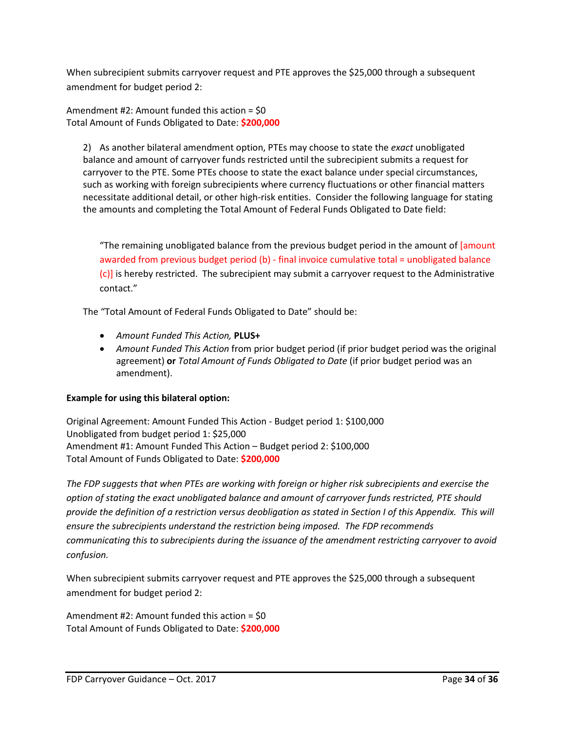When subrecipient submits carryover request and PTE approves the \$25,000 through a subsequent amendment for budget period 2:

Amendment #2: Amount funded this action = \$0 Total Amount of Funds Obligated to Date: **\$200,000**

2) As another bilateral amendment option, PTEs may choose to state the *exact* unobligated balance and amount of carryover funds restricted until the subrecipient submits a request for carryover to the PTE. Some PTEs choose to state the exact balance under special circumstances, such as working with foreign subrecipients where currency fluctuations or other financial matters necessitate additional detail, or other high-risk entities. Consider the following language for stating the amounts and completing the Total Amount of Federal Funds Obligated to Date field:

"The remaining unobligated balance from the previous budget period in the amount of [amount] awarded from previous budget period (b) - final invoice cumulative total = unobligated balance (c)] is hereby restricted. The subrecipient may submit a carryover request to the Administrative contact."

The "Total Amount of Federal Funds Obligated to Date" should be:

- *Amount Funded This Action,* **PLUS+**
- *Amount Funded This Action* from prior budget period (if prior budget period was the original agreement) **or** *Total Amount of Funds Obligated to Date* (if prior budget period was an amendment).

#### **Example for using this bilateral option:**

Original Agreement: Amount Funded This Action - Budget period 1: \$100,000 Unobligated from budget period 1: \$25,000 Amendment #1: Amount Funded This Action – Budget period 2: \$100,000 Total Amount of Funds Obligated to Date: **\$200,000**

*The FDP suggests that when PTEs are working with foreign or higher risk subrecipients and exercise the option of stating the exact unobligated balance and amount of carryover funds restricted, PTE should provide the definition of a restriction versus deobligation as stated in Section I of this Appendix. This will ensure the subrecipients understand the restriction being imposed. The FDP recommends communicating this to subrecipients during the issuance of the amendment restricting carryover to avoid confusion.*

When subrecipient submits carryover request and PTE approves the \$25,000 through a subsequent amendment for budget period 2:

Amendment #2: Amount funded this action = \$0 Total Amount of Funds Obligated to Date: **\$200,000**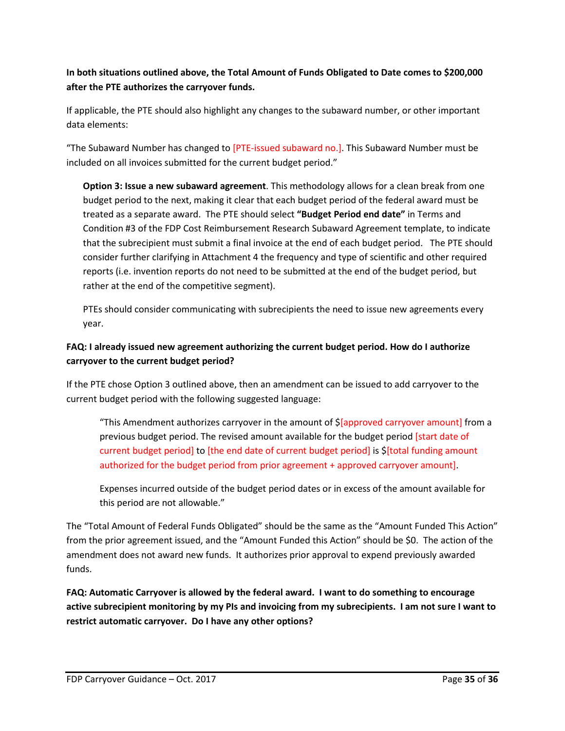## **In both situations outlined above, the Total Amount of Funds Obligated to Date comes to \$200,000 after the PTE authorizes the carryover funds.**

If applicable, the PTE should also highlight any changes to the subaward number, or other important data elements:

"The Subaward Number has changed to [PTE-issued subaward no.]. This Subaward Number must be included on all invoices submitted for the current budget period."

**Option 3: Issue a new subaward agreement**. This methodology allows for a clean break from one budget period to the next, making it clear that each budget period of the federal award must be treated as a separate award. The PTE should select **"Budget Period end date"** in Terms and Condition #3 of the FDP Cost Reimbursement Research Subaward Agreement template, to indicate that the subrecipient must submit a final invoice at the end of each budget period. The PTE should consider further clarifying in Attachment 4 the frequency and type of scientific and other required reports (i.e. invention reports do not need to be submitted at the end of the budget period, but rather at the end of the competitive segment).

PTEs should consider communicating with subrecipients the need to issue new agreements every year.

## **FAQ: I already issued new agreement authorizing the current budget period. How do I authorize carryover to the current budget period?**

If the PTE chose Option 3 outlined above, then an amendment can be issued to add carryover to the current budget period with the following suggested language:

"This Amendment authorizes carryover in the amount of \$[approved carryover amount] from a previous budget period. The revised amount available for the budget period [start date of current budget period] to [the end date of current budget period] is \$[total funding amount authorized for the budget period from prior agreement + approved carryover amount].

Expenses incurred outside of the budget period dates or in excess of the amount available for this period are not allowable."

The "Total Amount of Federal Funds Obligated" should be the same as the "Amount Funded This Action" from the prior agreement issued, and the "Amount Funded this Action" should be \$0. The action of the amendment does not award new funds. It authorizes prior approval to expend previously awarded funds.

**FAQ: Automatic Carryover is allowed by the federal award. I want to do something to encourage active subrecipient monitoring by my PIs and invoicing from my subrecipients. I am not sure I want to restrict automatic carryover. Do I have any other options?**